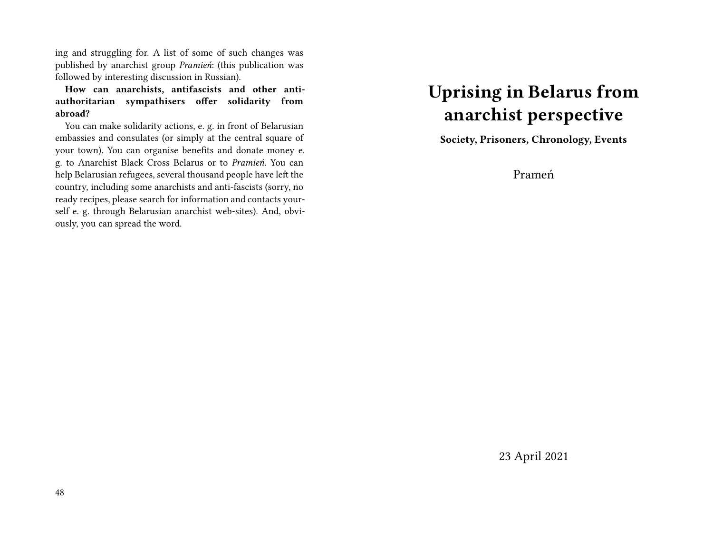ing and struggling for. A list of some of such changes was published by anarchist group *Pramień*: (this publication was followed by interesting discussion in Russian).

**How can anarchists, antifascists and other antiauthoritarian sympathisers offer solidarity from abroad?**

You can make solidarity actions, e. g. in front of Belarusian embassies and consulates (or simply at the central square of your town). You can organise benefits and donate money e. g. to Anarchist Black Cross Belarus or to *Pramień*. You can help Belarusian refugees, several thousand people have left the country, including some anarchists and anti-fascists (sorry, no ready recipes, please search for information and contacts yourself e. g. through Belarusian anarchist web-sites). And, obviously, you can spread the word.

## **Uprising in Belarus from anarchist perspective**

**Society, Prisoners, Chronology, Events**

Prameń

23 April 2021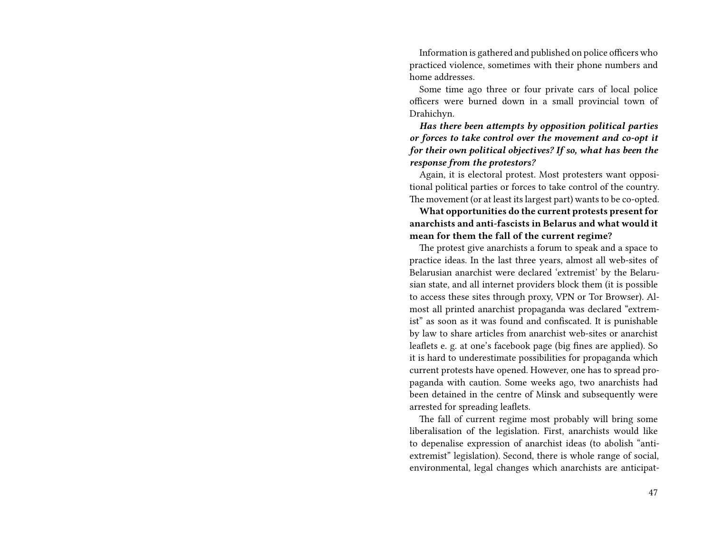Information is gathered and published on police officers who practiced violence, sometimes with their phone numbers and home addresses.

Some time ago three or four private cars of local police officers were burned down in a small provincial town of Drahichyn.

*Has there been attempts by opposition political parties or forces to take control over the movement and co-opt it for their own political objectives? If so, what has been the response from the protestors?*

Again, it is electoral protest. Most protesters want oppositional political parties or forces to take control of the country. The movement (or at least its largest part) wants to be co-opted.

**What opportunities do the current protests present for anarchists and anti-fascists in Belarus and what would it mean for them the fall of the current regime?**

The protest give anarchists a forum to speak and a space to practice ideas. In the last three years, almost all web-sites of Belarusian anarchist were declared 'extremist' by the Belarusian state, and all internet providers block them (it is possible to access these sites through proxy, VPN or Tor Browser). Almost all printed anarchist propaganda was declared "extremist" as soon as it was found and confiscated. It is punishable by law to share articles from anarchist web-sites or anarchist leaflets e. g. at one's facebook page (big fines are applied). So it is hard to underestimate possibilities for propaganda which current protests have opened. However, one has to spread propaganda with caution. Some weeks ago, two anarchists had been detained in the centre of Minsk and subsequently were arrested for spreading leaflets.

The fall of current regime most probably will bring some liberalisation of the legislation. First, anarchists would like to depenalise expression of anarchist ideas (to abolish "antiextremist" legislation). Second, there is whole range of social, environmental, legal changes which anarchists are anticipat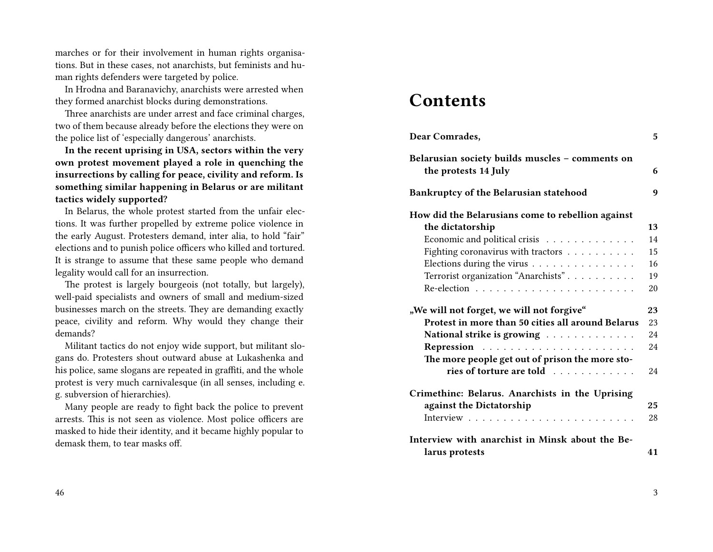marches or for their involvement in human rights organisations. But in these cases, not anarchists, but feminists and human rights defenders were targeted by police.

In Hrodna and Baranavichy, anarchists were arrested when they formed anarchist blocks during demonstrations.

Three anarchists are under arrest and face criminal charges, two of them because already before the elections they were on the police list of 'especially dangerous' anarchists.

**In the recent uprising in USA, sectors within the very own protest movement played a role in quenching the insurrections by calling for peace, civility and reform. Is something similar happening in Belarus or are militant tactics widely supported?**

In Belarus, the whole protest started from the unfair elections. It was further propelled by extreme police violence in the early August. Protesters demand, inter alia, to hold "fair" elections and to punish police officers who killed and tortured. It is strange to assume that these same people who demand legality would call for an insurrection.

The protest is largely bourgeois (not totally, but largely), well-paid specialists and owners of small and medium-sized businesses march on the streets. They are demanding exactly peace, civility and reform. Why would they change their demands?

Militant tactics do not enjoy wide support, but militant slogans do. Protesters shout outward abuse at Lukashenka and his police, same slogans are repeated in graffiti, and the whole protest is very much carnivalesque (in all senses, including e. g. subversion of hierarchies).

Many people are ready to fight back the police to prevent arrests. This is not seen as violence. Most police officers are masked to hide their identity, and it became highly popular to demask them, to tear masks off.

### **Contents**

| Dear Comrades,                                                          | 5. |
|-------------------------------------------------------------------------|----|
| Belarusian society builds muscles - comments on<br>the protests 14 July | 6  |
| Bankruptcy of the Belarusian statehood                                  | 9  |
| How did the Belarusians come to rebellion against                       |    |
| the dictatorship                                                        | 13 |
| Economic and political crisis                                           | 14 |
| Fighting coronavirus with tractors                                      | 15 |
| Elections during the virus                                              | 16 |
| Terrorist organization "Anarchists"                                     | 19 |
|                                                                         | 20 |
| "We will not forget, we will not forgive"                               | 23 |
| Protest in more than 50 cities all around Belarus                       | 23 |
| National strike is growing $\dots \dots \dots \dots$                    | 24 |
| Repression                                                              | 24 |
| The more people get out of prison the more sto-                         |    |
| ries of torture are told                                                | 24 |
| Crimethinc: Belarus. Anarchists in the Uprising                         |    |
| against the Dictatorship                                                | 25 |
|                                                                         | 28 |
| Interview with anarchist in Minsk about the Be-                         |    |
| larus protests                                                          | 41 |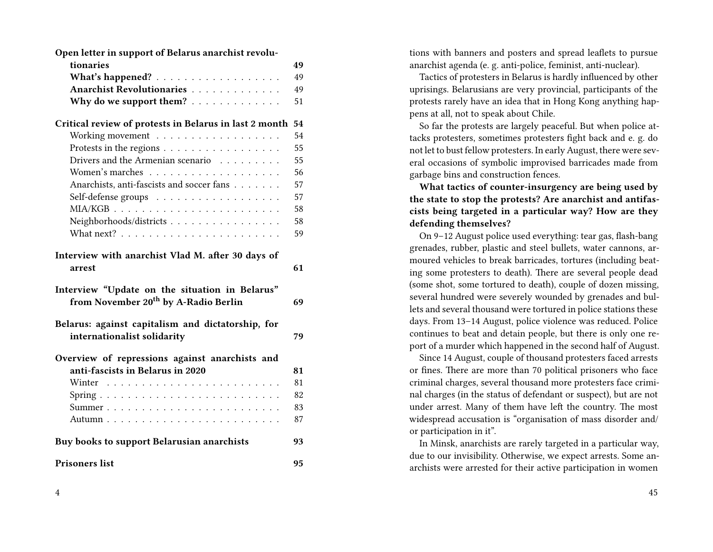| Open letter in support of Belarus anarchist revolu-                                                          |          |
|--------------------------------------------------------------------------------------------------------------|----------|
| tionaries                                                                                                    | 49       |
| What's happened?                                                                                             | 49       |
| Anarchist Revolutionaries                                                                                    | 49       |
| Why do we support them?                                                                                      | 51       |
| Critical review of protests in Belarus in last 2 month                                                       | 54       |
| Working movement                                                                                             | 54       |
| Protests in the regions                                                                                      | 55       |
| Drivers and the Armenian scenario $\dots \dots$                                                              | 55       |
|                                                                                                              | 56       |
| Anarchists, anti-fascists and soccer fans                                                                    | 57       |
| Self-defense groups                                                                                          | 57       |
|                                                                                                              | 58       |
| Neighborhoods/districts                                                                                      | 58       |
|                                                                                                              | 59       |
| arrest<br>Interview "Update on the situation in Belarus"<br>from November 20 <sup>th</sup> by A-Radio Berlin | 61<br>69 |
| Belarus: against capitalism and dictatorship, for<br>internationalist solidarity                             | 79       |
| Overview of repressions against anarchists and                                                               |          |
| anti-fascists in Belarus in 2020                                                                             | 81       |
|                                                                                                              | 81       |
|                                                                                                              | 82       |
|                                                                                                              | 83       |
|                                                                                                              | 87       |
| Buy books to support Belarusian anarchists                                                                   | 93       |
| <b>Prisoners list</b>                                                                                        | 95       |

tions with banners and posters and spread leaflets to pursue anarchist agenda (e. g. anti-police, feminist, anti-nuclear).

Tactics of protesters in Belarus is hardly influenced by other uprisings. Belarusians are very provincial, participants of the protests rarely have an idea that in Hong Kong anything happens at all, not to speak about Chile.

So far the protests are largely peaceful. But when police attacks protesters, sometimes protesters fight back and e. g. do not let to bust fellow protesters. In early August, there were several occasions of symbolic improvised barricades made from garbage bins and construction fences.

**What tactics of counter-insurgency are being used by the state to stop the protests? Are anarchist and antifascists being targeted in a particular way? How are they defending themselves?**

On 9–12 August police used everything: tear gas, flash-bang grenades, rubber, plastic and steel bullets, water cannons, armoured vehicles to break barricades, tortures (including beating some protesters to death). There are several people dead (some shot, some tortured to death), couple of dozen missing, several hundred were severely wounded by grenades and bullets and several thousand were tortured in police stations these days. From 13–14 August, police violence was reduced. Police continues to beat and detain people, but there is only one report of a murder which happened in the second half of August.

Since 14 August, couple of thousand protesters faced arrests or fines. There are more than 70 political prisoners who face criminal charges, several thousand more protesters face criminal charges (in the status of defendant or suspect), but are not under arrest. Many of them have left the country. The most widespread accusation is "organisation of mass disorder and/ or participation in it".

In Minsk, anarchists are rarely targeted in a particular way, due to our invisibility. Otherwise, we expect arrests. Some anarchists were arrested for their active participation in women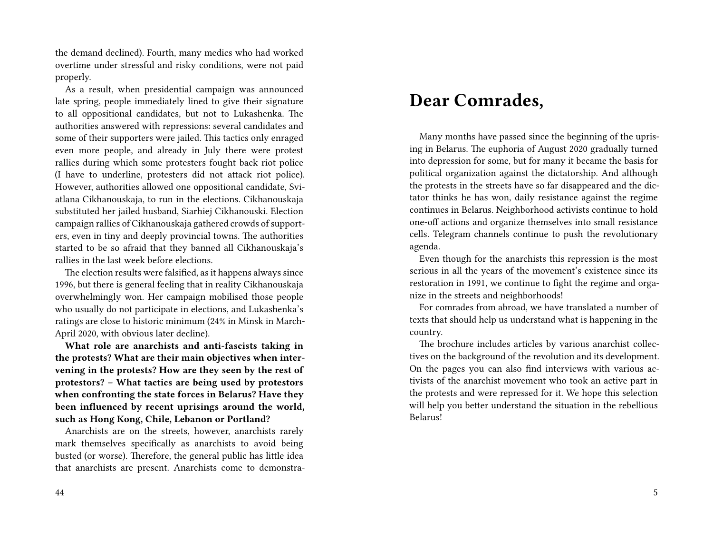the demand declined). Fourth, many medics who had worked overtime under stressful and risky conditions, were not paid properly.

As a result, when presidential campaign was announced late spring, people immediately lined to give their signature to all oppositional candidates, but not to Lukashenka. The authorities answered with repressions: several candidates and some of their supporters were jailed. This tactics only enraged even more people, and already in July there were protest rallies during which some protesters fought back riot police (I have to underline, protesters did not attack riot police). However, authorities allowed one oppositional candidate, Sviatlana Cikhanouskaja, to run in the elections. Cikhanouskaja substituted her jailed husband, Siarhiej Cikhanouski. Election campaign rallies of Cikhanouskaja gathered crowds of supporters, even in tiny and deeply provincial towns. The authorities started to be so afraid that they banned all Cikhanouskaja's rallies in the last week before elections.

The election results were falsified, as it happens always since 1996, but there is general feeling that in reality Cikhanouskaja overwhelmingly won. Her campaign mobilised those people who usually do not participate in elections, and Lukashenka's ratings are close to historic minimum (24% in Minsk in March-April 2020, with obvious later decline).

**What role are anarchists and anti-fascists taking in the protests? What are their main objectives when intervening in the protests? How are they seen by the rest of protestors? – What tactics are being used by protestors when confronting the state forces in Belarus? Have they been influenced by recent uprisings around the world, such as Hong Kong, Chile, Lebanon or Portland?**

Anarchists are on the streets, however, anarchists rarely mark themselves specifically as anarchists to avoid being busted (or worse). Therefore, the general public has little idea that anarchists are present. Anarchists come to demonstra-

## **Dear Comrades,**

Many months have passed since the beginning of the uprising in Belarus. The euphoria of August 2020 gradually turned into depression for some, but for many it became the basis for political organization against the dictatorship. And although the protests in the streets have so far disappeared and the dictator thinks he has won, daily resistance against the regime continues in Belarus. Neighborhood activists continue to hold one-off actions and organize themselves into small resistance cells. Telegram channels continue to push the revolutionary agenda.

Even though for the anarchists this repression is the most serious in all the years of the movement's existence since its restoration in 1991, we continue to fight the regime and organize in the streets and neighborhoods!

For comrades from abroad, we have translated a number of texts that should help us understand what is happening in the country.

The brochure includes articles by various anarchist collectives on the background of the revolution and its development. On the pages you can also find interviews with various activists of the anarchist movement who took an active part in the protests and were repressed for it. We hope this selection will help you better understand the situation in the rebellious Belarus!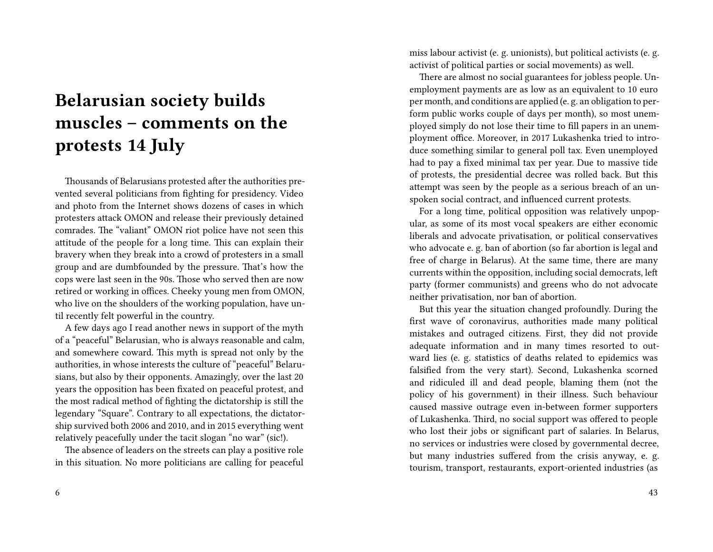# **Belarusian society builds muscles – comments on the protests 14 July**

Thousands of Belarusians protested after the authorities prevented several politicians from fighting for presidency. Video and photo from the Internet shows dozens of cases in which protesters attack OMON and release their previously detained comrades. The "valiant" OMON riot police have not seen this attitude of the people for a long time. This can explain their bravery when they break into a crowd of protesters in a small group and are dumbfounded by the pressure. That's how the cops were last seen in the 90s. Those who served then are now retired or working in offices. Cheeky young men from OMON, who live on the shoulders of the working population, have until recently felt powerful in the country.

A few days ago I read another news in support of the myth of a "peaceful" Belarusian, who is always reasonable and calm, and somewhere coward. This myth is spread not only by the authorities, in whose interests the culture of "peaceful" Belarusians, but also by their opponents. Amazingly, over the last 20 years the opposition has been fixated on peaceful protest, and the most radical method of fighting the dictatorship is still the legendary "Square". Contrary to all expectations, the dictatorship survived both 2006 and 2010, and in 2015 everything went relatively peacefully under the tacit slogan "no war" (sic!).

The absence of leaders on the streets can play a positive role in this situation. No more politicians are calling for peaceful miss labour activist (e. g. unionists), but political activists (e. g. activist of political parties or social movements) as well.

There are almost no social guarantees for jobless people. Unemployment payments are as low as an equivalent to 10 euro per month, and conditions are applied (e. g. an obligation to perform public works couple of days per month), so most unemployed simply do not lose their time to fill papers in an unemployment office. Moreover, in 2017 Lukashenka tried to introduce something similar to general poll tax. Even unemployed had to pay a fixed minimal tax per year. Due to massive tide of protests, the presidential decree was rolled back. But this attempt was seen by the people as a serious breach of an unspoken social contract, and influenced current protests.

For a long time, political opposition was relatively unpopular, as some of its most vocal speakers are either economic liberals and advocate privatisation, or political conservatives who advocate e. g. ban of abortion (so far abortion is legal and free of charge in Belarus). At the same time, there are many currents within the opposition, including social democrats, left party (former communists) and greens who do not advocate neither privatisation, nor ban of abortion.

But this year the situation changed profoundly. During the first wave of coronavirus, authorities made many political mistakes and outraged citizens. First, they did not provide adequate information and in many times resorted to outward lies (e. g. statistics of deaths related to epidemics was falsified from the very start). Second, Lukashenka scorned and ridiculed ill and dead people, blaming them (not the policy of his government) in their illness. Such behaviour caused massive outrage even in-between former supporters of Lukashenka. Third, no social support was offered to people who lost their jobs or significant part of salaries. In Belarus, no services or industries were closed by governmental decree, but many industries suffered from the crisis anyway, e. g. tourism, transport, restaurants, export-oriented industries (as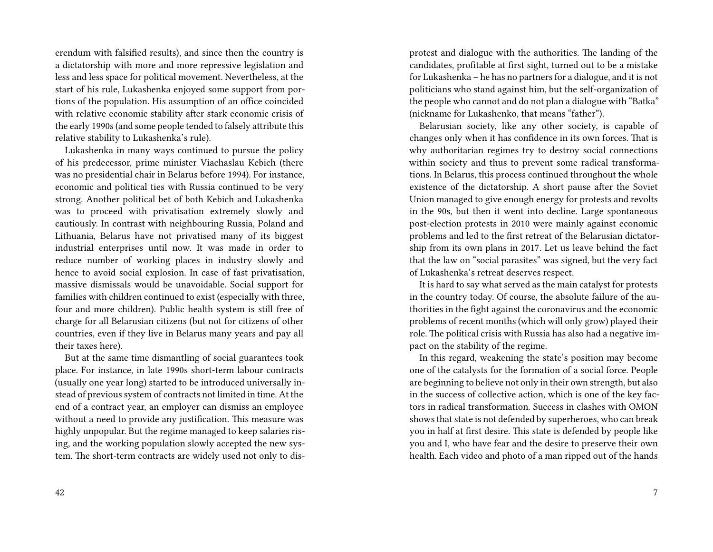erendum with falsified results), and since then the country is a dictatorship with more and more repressive legislation and less and less space for political movement. Nevertheless, at the start of his rule, Lukashenka enjoyed some support from portions of the population. His assumption of an office coincided with relative economic stability after stark economic crisis of the early 1990s (and some people tended to falsely attribute this relative stability to Lukashenka's rule).

Lukashenka in many ways continued to pursue the policy of his predecessor, prime minister Viachaslau Kebich (there was no presidential chair in Belarus before 1994). For instance, economic and political ties with Russia continued to be very strong. Another political bet of both Kebich and Lukashenka was to proceed with privatisation extremely slowly and cautiously. In contrast with neighbouring Russia, Poland and Lithuania, Belarus have not privatised many of its biggest industrial enterprises until now. It was made in order to reduce number of working places in industry slowly and hence to avoid social explosion. In case of fast privatisation, massive dismissals would be unavoidable. Social support for families with children continued to exist (especially with three, four and more children). Public health system is still free of charge for all Belarusian citizens (but not for citizens of other countries, even if they live in Belarus many years and pay all their taxes here).

But at the same time dismantling of social guarantees took place. For instance, in late 1990s short-term labour contracts (usually one year long) started to be introduced universally instead of previous system of contracts not limited in time. At the end of a contract year, an employer can dismiss an employee without a need to provide any justification. This measure was highly unpopular. But the regime managed to keep salaries rising, and the working population slowly accepted the new system. The short-term contracts are widely used not only to disprotest and dialogue with the authorities. The landing of the candidates, profitable at first sight, turned out to be a mistake for Lukashenka – he has no partners for a dialogue, and it is not politicians who stand against him, but the self-organization of the people who cannot and do not plan a dialogue with "Batka" (nickname for Lukashenko, that means "father").

Belarusian society, like any other society, is capable of changes only when it has confidence in its own forces. That is why authoritarian regimes try to destroy social connections within society and thus to prevent some radical transformations. In Belarus, this process continued throughout the whole existence of the dictatorship. A short pause after the Soviet Union managed to give enough energy for protests and revolts in the 90s, but then it went into decline. Large spontaneous post-election protests in 2010 were mainly against economic problems and led to the first retreat of the Belarusian dictatorship from its own plans in 2017. Let us leave behind the fact that the law on "social parasites" was signed, but the very fact of Lukashenka's retreat deserves respect.

It is hard to say what served as the main catalyst for protests in the country today. Of course, the absolute failure of the authorities in the fight against the coronavirus and the economic problems of recent months (which will only grow) played their role. The political crisis with Russia has also had a negative impact on the stability of the regime.

In this regard, weakening the state's position may become one of the catalysts for the formation of a social force. People are beginning to believe not only in their own strength, but also in the success of collective action, which is one of the key factors in radical transformation. Success in clashes with OMON shows that state is not defended by superheroes, who can break you in half at first desire. This state is defended by people like you and I, who have fear and the desire to preserve their own health. Each video and photo of a man ripped out of the hands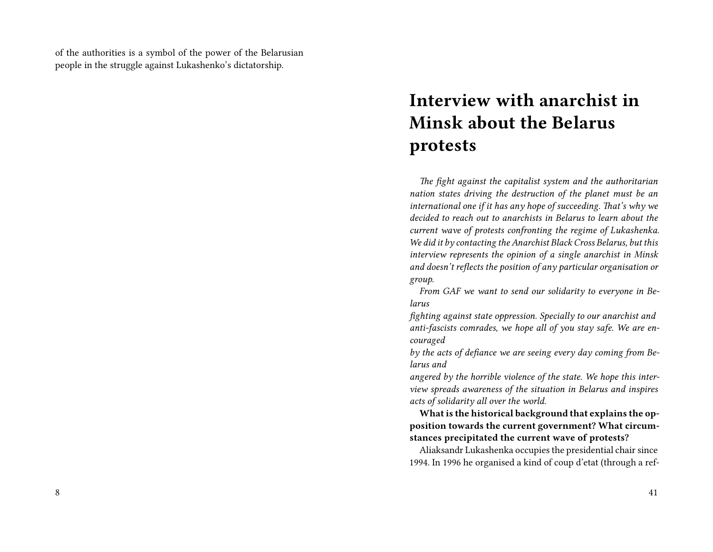of the authorities is a symbol of the power of the Belarusian people in the struggle against Lukashenko's dictatorship.

# **Interview with anarchist in Minsk about the Belarus protests**

*The fight against the capitalist system and the authoritarian nation states driving the destruction of the planet must be an international one if it has any hope of succeeding. That's why we decided to reach out to anarchists in Belarus to learn about the current wave of protests confronting the regime of Lukashenka. We did it by contacting the Anarchist Black Cross Belarus, but this interview represents the opinion of a single anarchist in Minsk and doesn't reflects the position of any particular organisation or group.*

*From GAF we want to send our solidarity to everyone in Belarus*

*fighting against state oppression. Specially to our anarchist and anti-fascists comrades, we hope all of you stay safe. We are encouraged*

*by the acts of defiance we are seeing every day coming from Belarus and*

*angered by the horrible violence of the state. We hope this interview spreads awareness of the situation in Belarus and inspires acts of solidarity all over the world.*

**What is the historical background that explains the opposition towards the current government? What circumstances precipitated the current wave of protests?**

Aliaksandr Lukashenka occupies the presidential chair since 1994. In 1996 he organised a kind of coup d'etat (through a ref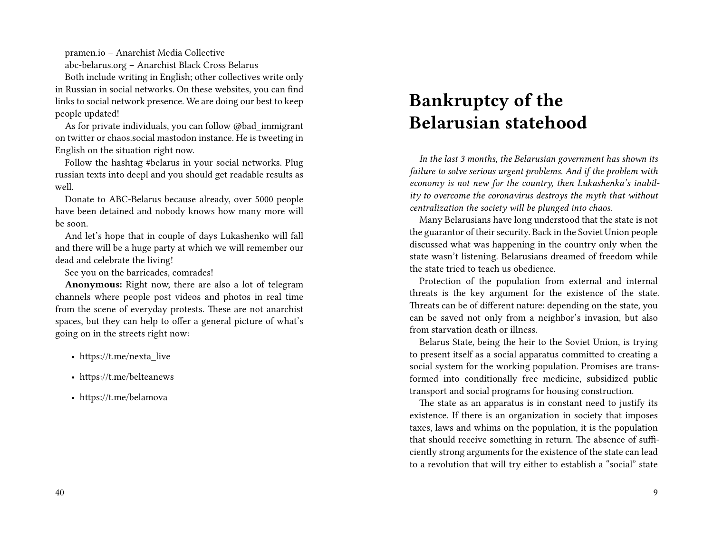pramen.io – Anarchist Media Collective

abc-belarus.org – Anarchist Black Cross Belarus

Both include writing in English; other collectives write only in Russian in social networks. On these websites, you can find links to social network presence. We are doing our best to keep people updated!

As for private individuals, you can follow @bad\_immigrant on twitter or chaos.social mastodon instance. He is tweeting in English on the situation right now.

Follow the hashtag #belarus in your social networks. Plug russian texts into deepl and you should get readable results as well.

Donate to ABC-Belarus because already, over 5000 people have been detained and nobody knows how many more will be soon.

And let's hope that in couple of days Lukashenko will fall and there will be a huge party at which we will remember our dead and celebrate the living!

See you on the barricades, comrades!

**Anonymous:** Right now, there are also a lot of telegram channels where people post videos and photos in real time from the scene of everyday protests. These are not anarchist spaces, but they can help to offer a general picture of what's going on in the streets right now:

- https://t.me/nexta\_live
- https://t.me/belteanews
- https://t.me/belamova

# **Bankruptcy of the Belarusian statehood**

*In the last 3 months, the Belarusian government has shown its failure to solve serious urgent problems. And if the problem with economy is not new for the country, then Lukashenka's inability to overcome the coronavirus destroys the myth that without centralization the society will be plunged into chaos.*

Many Belarusians have long understood that the state is not the guarantor of their security. Back in the Soviet Union people discussed what was happening in the country only when the state wasn't listening. Belarusians dreamed of freedom while the state tried to teach us obedience.

Protection of the population from external and internal threats is the key argument for the existence of the state. Threats can be of different nature: depending on the state, you can be saved not only from a neighbor's invasion, but also from starvation death or illness.

Belarus State, being the heir to the Soviet Union, is trying to present itself as a social apparatus committed to creating a social system for the working population. Promises are transformed into conditionally free medicine, subsidized public transport and social programs for housing construction.

The state as an apparatus is in constant need to justify its existence. If there is an organization in society that imposes taxes, laws and whims on the population, it is the population that should receive something in return. The absence of sufficiently strong arguments for the existence of the state can lead to a revolution that will try either to establish a "social" state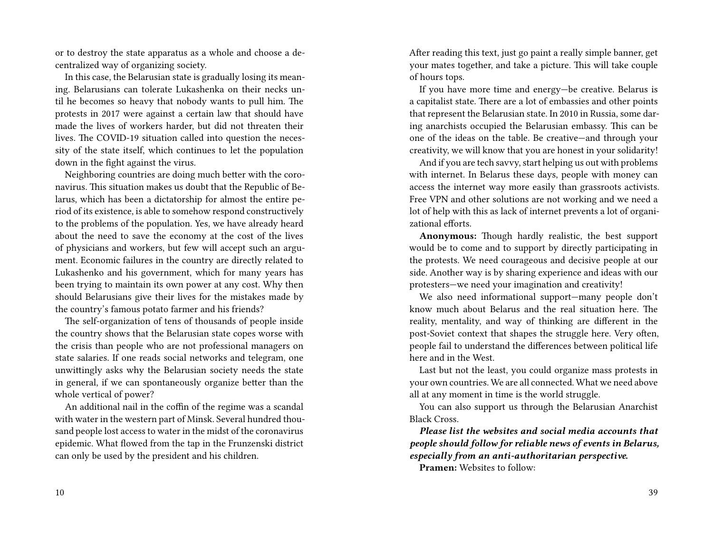or to destroy the state apparatus as a whole and choose a decentralized way of organizing society.

In this case, the Belarusian state is gradually losing its meaning. Belarusians can tolerate Lukashenka on their necks until he becomes so heavy that nobody wants to pull him. The protests in 2017 were against a certain law that should have made the lives of workers harder, but did not threaten their lives. The COVID-19 situation called into question the necessity of the state itself, which continues to let the population down in the fight against the virus.

Neighboring countries are doing much better with the coronavirus. This situation makes us doubt that the Republic of Belarus, which has been a dictatorship for almost the entire period of its existence, is able to somehow respond constructively to the problems of the population. Yes, we have already heard about the need to save the economy at the cost of the lives of physicians and workers, but few will accept such an argument. Economic failures in the country are directly related to Lukashenko and his government, which for many years has been trying to maintain its own power at any cost. Why then should Belarusians give their lives for the mistakes made by the country's famous potato farmer and his friends?

The self-organization of tens of thousands of people inside the country shows that the Belarusian state copes worse with the crisis than people who are not professional managers on state salaries. If one reads social networks and telegram, one unwittingly asks why the Belarusian society needs the state in general, if we can spontaneously organize better than the whole vertical of power?

An additional nail in the coffin of the regime was a scandal with water in the western part of Minsk. Several hundred thousand people lost access to water in the midst of the coronavirus epidemic. What flowed from the tap in the Frunzenski district can only be used by the president and his children.

After reading this text, just go paint a really simple banner, get your mates together, and take a picture. This will take couple of hours tops.

If you have more time and energy—be creative. Belarus is a capitalist state. There are a lot of embassies and other points that represent the Belarusian state. In 2010 in Russia, some daring anarchists occupied the Belarusian embassy. This can be one of the ideas on the table. Be creative—and through your creativity, we will know that you are honest in your solidarity!

And if you are tech savvy, start helping us out with problems with internet. In Belarus these days, people with money can access the internet way more easily than grassroots activists. Free VPN and other solutions are not working and we need a lot of help with this as lack of internet prevents a lot of organizational efforts.

**Anonymous:** Though hardly realistic, the best support would be to come and to support by directly participating in the protests. We need courageous and decisive people at our side. Another way is by sharing experience and ideas with our protesters—we need your imagination and creativity!

We also need informational support—many people don't know much about Belarus and the real situation here. The reality, mentality, and way of thinking are different in the post-Soviet context that shapes the struggle here. Very often, people fail to understand the differences between political life here and in the West.

Last but not the least, you could organize mass protests in your own countries. We are all connected. What we need above all at any moment in time is the world struggle.

You can also support us through the Belarusian Anarchist Black Cross.

*Please list the websites and social media accounts that people should follow for reliable news of events in Belarus, especially from an anti-authoritarian perspective.*

**Pramen:** Websites to follow: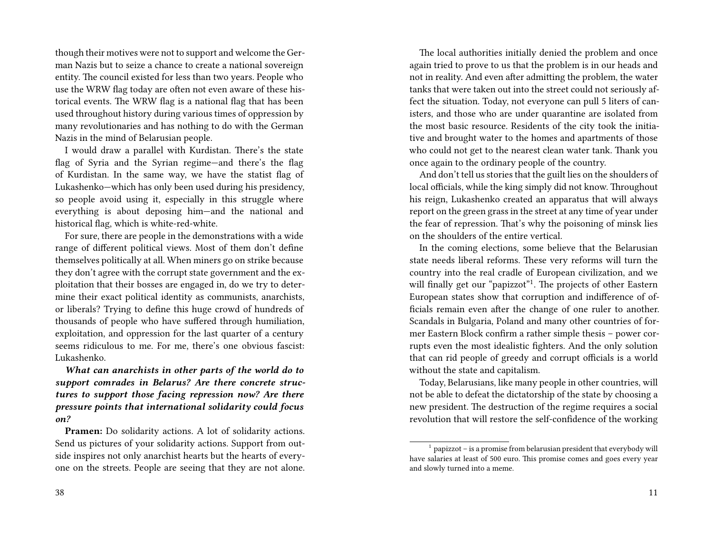though their motives were not to support and welcome the German Nazis but to seize a chance to create a national sovereign entity. The council existed for less than two years. People who use the WRW flag today are often not even aware of these historical events. The WRW flag is a national flag that has been used throughout history during various times of oppression by many revolutionaries and has nothing to do with the German Nazis in the mind of Belarusian people.

I would draw a parallel with Kurdistan. There's the state flag of Syria and the Syrian regime—and there's the flag of Kurdistan. In the same way, we have the statist flag of Lukashenko—which has only been used during his presidency, so people avoid using it, especially in this struggle where everything is about deposing him—and the national and historical flag, which is white-red-white.

For sure, there are people in the demonstrations with a wide range of different political views. Most of them don't define themselves politically at all. When miners go on strike because they don't agree with the corrupt state government and the exploitation that their bosses are engaged in, do we try to determine their exact political identity as communists, anarchists, or liberals? Trying to define this huge crowd of hundreds of thousands of people who have suffered through humiliation, exploitation, and oppression for the last quarter of a century seems ridiculous to me. For me, there's one obvious fascist: Lukashenko.

*What can anarchists in other parts of the world do to support comrades in Belarus? Are there concrete structures to support those facing repression now? Are there pressure points that international solidarity could focus on?*

**Pramen:** Do solidarity actions. A lot of solidarity actions. Send us pictures of your solidarity actions. Support from outside inspires not only anarchist hearts but the hearts of everyone on the streets. People are seeing that they are not alone.

The local authorities initially denied the problem and once again tried to prove to us that the problem is in our heads and not in reality. And even after admitting the problem, the water tanks that were taken out into the street could not seriously affect the situation. Today, not everyone can pull 5 liters of canisters, and those who are under quarantine are isolated from the most basic resource. Residents of the city took the initiative and brought water to the homes and apartments of those who could not get to the nearest clean water tank. Thank you once again to the ordinary people of the country.

And don't tell us stories that the guilt lies on the shoulders of local officials, while the king simply did not know. Throughout his reign, Lukashenko created an apparatus that will always report on the green grass in the street at any time of year under the fear of repression. That's why the poisoning of minsk lies on the shoulders of the entire vertical.

In the coming elections, some believe that the Belarusian state needs liberal reforms. These very reforms will turn the country into the real cradle of European civilization, and we will finally get our "papizzot"<sup>1</sup>. The projects of other Eastern European states show that corruption and indifference of officials remain even after the change of one ruler to another. Scandals in Bulgaria, Poland and many other countries of former Eastern Block confirm a rather simple thesis – power corrupts even the most idealistic fighters. And the only solution that can rid people of greedy and corrupt officials is a world without the state and capitalism.

Today, Belarusians, like many people in other countries, will not be able to defeat the dictatorship of the state by choosing a new president. The destruction of the regime requires a social revolution that will restore the self-confidence of the working

 $1$  papizzot – is a promise from belarusian president that everybody will have salaries at least of 500 euro. This promise comes and goes every year and slowly turned into a meme.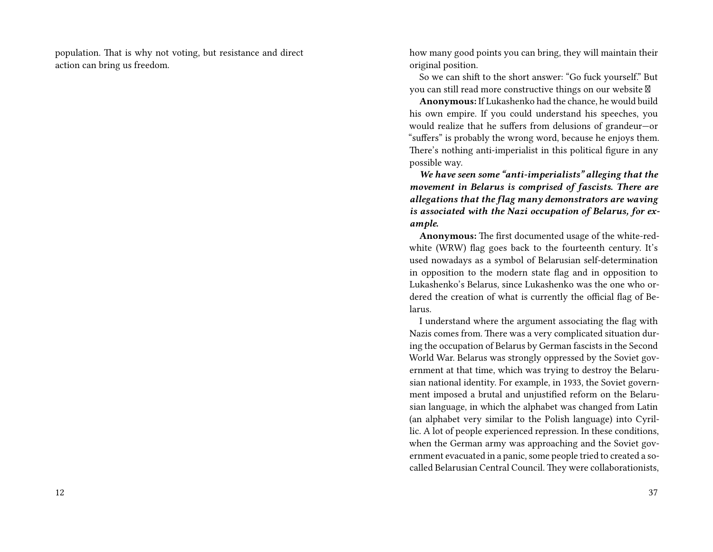population. That is why not voting, but resistance and direct action can bring us freedom.

how many good points you can bring, they will maintain their original position.

So we can shift to the short answer: "Go fuck yourself." But you can still read more constructive things on our website

**Anonymous:** If Lukashenko had the chance, he would build his own empire. If you could understand his speeches, you would realize that he suffers from delusions of grandeur—or "suffers" is probably the wrong word, because he enjoys them. There's nothing anti-imperialist in this political figure in any possible way.

*We have seen some "anti-imperialists" alleging that the movement in Belarus is comprised of fascists. There are allegations that the flag many demonstrators are waving is associated with the Nazi occupation of Belarus, for example.*

**Anonymous:** The first documented usage of the white-redwhite (WRW) flag goes back to the fourteenth century. It's used nowadays as a symbol of Belarusian self-determination in opposition to the modern state flag and in opposition to Lukashenko's Belarus, since Lukashenko was the one who ordered the creation of what is currently the official flag of Belarus.

I understand where the argument associating the flag with Nazis comes from. There was a very complicated situation during the occupation of Belarus by German fascists in the Second World War. Belarus was strongly oppressed by the Soviet government at that time, which was trying to destroy the Belarusian national identity. For example, in 1933, the Soviet government imposed a brutal and unjustified reform on the Belarusian language, in which the alphabet was changed from Latin (an alphabet very similar to the Polish language) into Cyrillic. A lot of people experienced repression. In these conditions, when the German army was approaching and the Soviet government evacuated in a panic, some people tried to created a socalled Belarusian Central Council. They were collaborationists,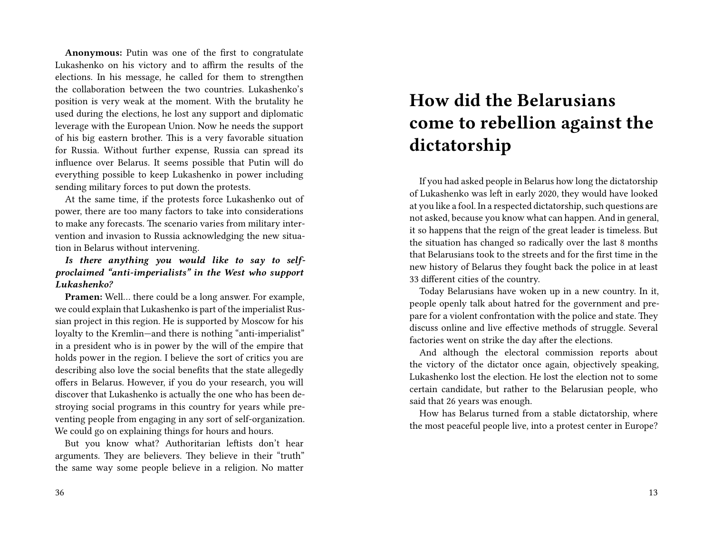**Anonymous:** Putin was one of the first to congratulate Lukashenko on his victory and to affirm the results of the elections. In his message, he called for them to strengthen the collaboration between the two countries. Lukashenko's position is very weak at the moment. With the brutality he used during the elections, he lost any support and diplomatic leverage with the European Union. Now he needs the support of his big eastern brother. This is a very favorable situation for Russia. Without further expense, Russia can spread its influence over Belarus. It seems possible that Putin will do everything possible to keep Lukashenko in power including sending military forces to put down the protests.

At the same time, if the protests force Lukashenko out of power, there are too many factors to take into considerations to make any forecasts. The scenario varies from military intervention and invasion to Russia acknowledging the new situation in Belarus without intervening.

*Is there anything you would like to say to selfproclaimed "anti-imperialists" in the West who support Lukashenko?*

**Pramen:** Well… there could be a long answer. For example, we could explain that Lukashenko is part of the imperialist Russian project in this region. He is supported by Moscow for his loyalty to the Kremlin—and there is nothing "anti-imperialist" in a president who is in power by the will of the empire that holds power in the region. I believe the sort of critics you are describing also love the social benefits that the state allegedly offers in Belarus. However, if you do your research, you will discover that Lukashenko is actually the one who has been destroying social programs in this country for years while preventing people from engaging in any sort of self-organization. We could go on explaining things for hours and hours.

But you know what? Authoritarian leftists don't hear arguments. They are believers. They believe in their "truth" the same way some people believe in a religion. No matter

# **How did the Belarusians come to rebellion against the dictatorship**

If you had asked people in Belarus how long the dictatorship of Lukashenko was left in early 2020, they would have looked at you like a fool. In a respected dictatorship, such questions are not asked, because you know what can happen. And in general, it so happens that the reign of the great leader is timeless. But the situation has changed so radically over the last 8 months that Belarusians took to the streets and for the first time in the new history of Belarus they fought back the police in at least 33 different cities of the country.

Today Belarusians have woken up in a new country. In it, people openly talk about hatred for the government and prepare for a violent confrontation with the police and state. They discuss online and live effective methods of struggle. Several factories went on strike the day after the elections.

And although the electoral commission reports about the victory of the dictator once again, objectively speaking, Lukashenko lost the election. He lost the election not to some certain candidate, but rather to the Belarusian people, who said that 26 years was enough.

How has Belarus turned from a stable dictatorship, where the most peaceful people live, into a protest center in Europe?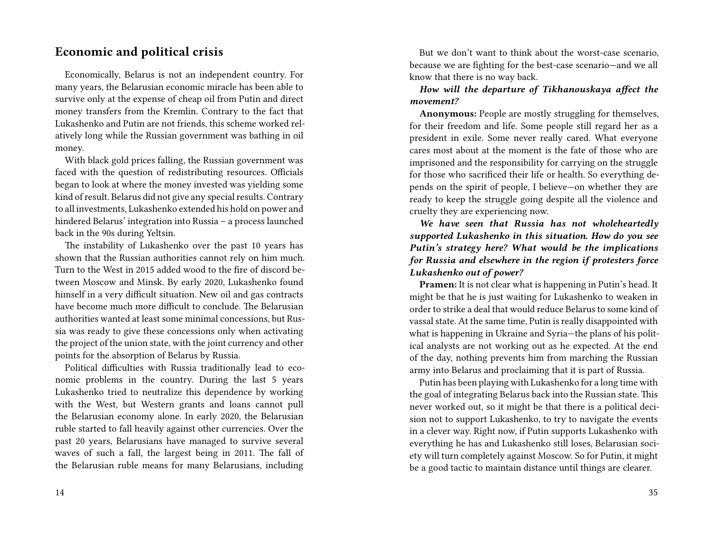### **Economic and political crisis**

Economically, Belarus is not an independent country. For many years, the Belarusian economic miracle has been able to survive only at the expense of cheap oil from Putin and direct money transfers from the Kremlin. Contrary to the fact that Lukashenko and Putin are not friends, this scheme worked relatively long while the Russian government was bathing in oil money.

With black gold prices falling, the Russian government was faced with the question of redistributing resources. Officials began to look at where the money invested was yielding some kind of result. Belarus did not give any special results. Contrary to all investments, Lukashenko extended his hold on power and hindered Belarus' integration into Russia – a process launched back in the 90s during Yeltsin.

The instability of Lukashenko over the past 10 years has shown that the Russian authorities cannot rely on him much. Turn to the West in 2015 added wood to the fire of discord between Moscow and Minsk. By early 2020, Lukashenko found himself in a very difficult situation. New oil and gas contracts have become much more difficult to conclude. The Belarusian authorities wanted at least some minimal concessions, but Russia was ready to give these concessions only when activating the project of the union state, with the joint currency and other points for the absorption of Belarus by Russia.

Political difficulties with Russia traditionally lead to economic problems in the country. During the last 5 years Lukashenko tried to neutralize this dependence by working with the West, but Western grants and loans cannot pull the Belarusian economy alone. In early 2020, the Belarusian ruble started to fall heavily against other currencies. Over the past 20 years, Belarusians have managed to survive several waves of such a fall, the largest being in 2011. The fall of the Belarusian ruble means for many Belarusians, including

But we don't want to think about the worst-case scenario, because we are fighting for the best-case scenario—and we all know that there is no way back.

### *How will the departure of Tikhanouskaya affect the movement?*

**Anonymous:** People are mostly struggling for themselves, for their freedom and life. Some people still regard her as a president in exile. Some never really cared. What everyone cares most about at the moment is the fate of those who are imprisoned and the responsibility for carrying on the struggle for those who sacrificed their life or health. So everything depends on the spirit of people, I believe—on whether they are ready to keep the struggle going despite all the violence and cruelty they are experiencing now.

*We have seen that Russia has not wholeheartedly supported Lukashenko in this situation. How do you see Putin's strategy here? What would be the implications for Russia and elsewhere in the region if protesters force Lukashenko out of power?*

**Pramen:** It is not clear what is happening in Putin's head. It might be that he is just waiting for Lukashenko to weaken in order to strike a deal that would reduce Belarus to some kind of vassal state. At the same time, Putin is really disappointed with what is happening in Ukraine and Syria—the plans of his political analysts are not working out as he expected. At the end of the day, nothing prevents him from marching the Russian army into Belarus and proclaiming that it is part of Russia.

Putin has been playing with Lukashenko for a long time with the goal of integrating Belarus back into the Russian state. This never worked out, so it might be that there is a political decision not to support Lukashenko, to try to navigate the events in a clever way. Right now, if Putin supports Lukashenko with everything he has and Lukashenko still loses, Belarusian society will turn completely against Moscow. So for Putin, it might be a good tactic to maintain distance until things are clearer.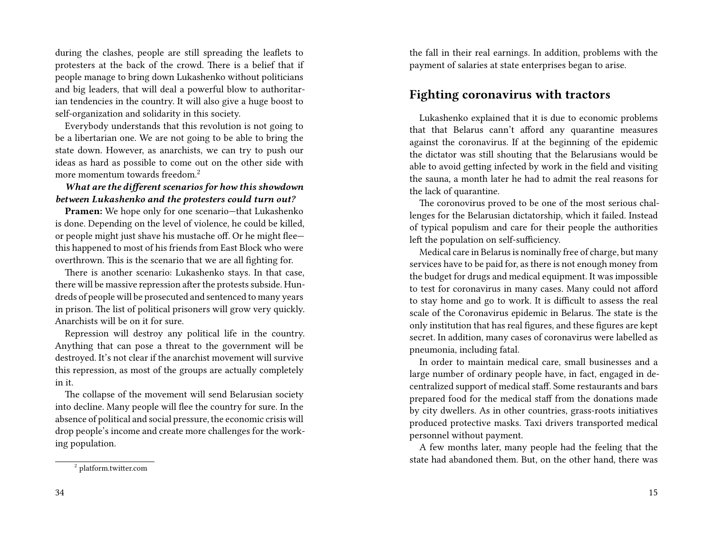during the clashes, people are still spreading the leaflets to protesters at the back of the crowd. There is a belief that if people manage to bring down Lukashenko without politicians and big leaders, that will deal a powerful blow to authoritarian tendencies in the country. It will also give a huge boost to self-organization and solidarity in this society.

Everybody understands that this revolution is not going to be a libertarian one. We are not going to be able to bring the state down. However, as anarchists, we can try to push our ideas as hard as possible to come out on the other side with more momentum towards freedom.<sup>2</sup>

### *What are the different scenarios for how this showdown between Lukashenko and the protesters could turn out?*

**Pramen:** We hope only for one scenario—that Lukashenko is done. Depending on the level of violence, he could be killed, or people might just shave his mustache off. Or he might flee this happened to most of his friends from East Block who were overthrown. This is the scenario that we are all fighting for.

There is another scenario: Lukashenko stays. In that case, there will be massive repression after the protests subside. Hundreds of people will be prosecuted and sentenced to many years in prison. The list of political prisoners will grow very quickly. Anarchists will be on it for sure.

Repression will destroy any political life in the country. Anything that can pose a threat to the government will be destroyed. It's not clear if the anarchist movement will survive this repression, as most of the groups are actually completely in it.

The collapse of the movement will send Belarusian society into decline. Many people will flee the country for sure. In the absence of political and social pressure, the economic crisis will drop people's income and create more challenges for the working population.

the fall in their real earnings. In addition, problems with the payment of salaries at state enterprises began to arise.

### **Fighting coronavirus with tractors**

Lukashenko explained that it is due to economic problems that that Belarus cann't afford any quarantine measures against the coronavirus. If at the beginning of the epidemic the dictator was still shouting that the Belarusians would be able to avoid getting infected by work in the field and visiting the sauna, a month later he had to admit the real reasons for the lack of quarantine.

The coronovirus proved to be one of the most serious challenges for the Belarusian dictatorship, which it failed. Instead of typical populism and care for their people the authorities left the population on self-sufficiency.

Medical care in Belarus is nominally free of charge, but many services have to be paid for, as there is not enough money from the budget for drugs and medical equipment. It was impossible to test for coronavirus in many cases. Many could not afford to stay home and go to work. It is difficult to assess the real scale of the Coronavirus epidemic in Belarus. The state is the only institution that has real figures, and these figures are kept secret. In addition, many cases of coronavirus were labelled as pneumonia, including fatal.

In order to maintain medical care, small businesses and a large number of ordinary people have, in fact, engaged in decentralized support of medical staff. Some restaurants and bars prepared food for the medical staff from the donations made by city dwellers. As in other countries, grass-roots initiatives produced protective masks. Taxi drivers transported medical personnel without payment.

A few months later, many people had the feeling that the state had abandoned them. But, on the other hand, there was

<sup>2</sup> platform.twitter.com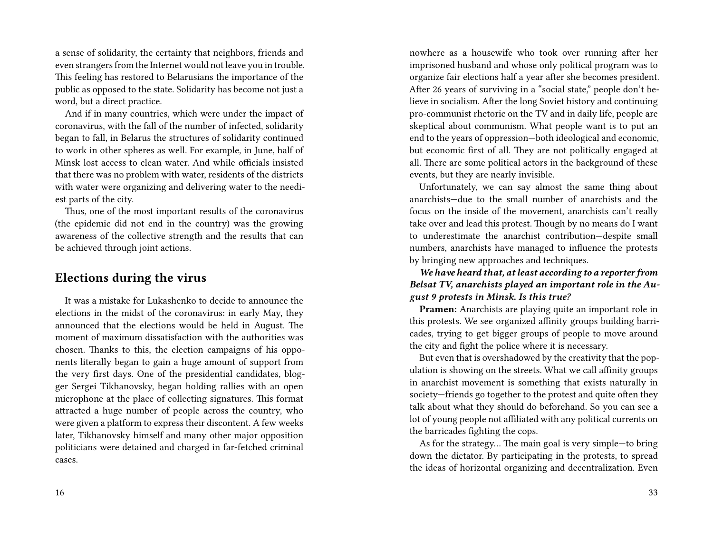a sense of solidarity, the certainty that neighbors, friends and even strangers from the Internet would not leave you in trouble. This feeling has restored to Belarusians the importance of the public as opposed to the state. Solidarity has become not just a word, but a direct practice.

And if in many countries, which were under the impact of coronavirus, with the fall of the number of infected, solidarity began to fall, in Belarus the structures of solidarity continued to work in other spheres as well. For example, in June, half of Minsk lost access to clean water. And while officials insisted that there was no problem with water, residents of the districts with water were organizing and delivering water to the neediest parts of the city.

Thus, one of the most important results of the coronavirus (the epidemic did not end in the country) was the growing awareness of the collective strength and the results that can be achieved through joint actions.

### **Elections during the virus**

It was a mistake for Lukashenko to decide to announce the elections in the midst of the coronavirus: in early May, they announced that the elections would be held in August. The moment of maximum dissatisfaction with the authorities was chosen. Thanks to this, the election campaigns of his opponents literally began to gain a huge amount of support from the very first days. One of the presidential candidates, blogger Sergei Tikhanovsky, began holding rallies with an open microphone at the place of collecting signatures. This format attracted a huge number of people across the country, who were given a platform to express their discontent. A few weeks later, Tikhanovsky himself and many other major opposition politicians were detained and charged in far-fetched criminal cases.

nowhere as a housewife who took over running after her imprisoned husband and whose only political program was to organize fair elections half a year after she becomes president. After 26 years of surviving in a "social state," people don't believe in socialism. After the long Soviet history and continuing pro-communist rhetoric on the TV and in daily life, people are skeptical about communism. What people want is to put an end to the years of oppression—both ideological and economic, but economic first of all. They are not politically engaged at all. There are some political actors in the background of these events, but they are nearly invisible.

Unfortunately, we can say almost the same thing about anarchists—due to the small number of anarchists and the focus on the inside of the movement, anarchists can't really take over and lead this protest. Though by no means do I want to underestimate the anarchist contribution—despite small numbers, anarchists have managed to influence the protests by bringing new approaches and techniques.

*We have heard that, at least according to a reporter from Belsat TV, anarchists played an important role in the August 9 protests in Minsk. Is this true?*

**Pramen:** Anarchists are playing quite an important role in this protests. We see organized affinity groups building barricades, trying to get bigger groups of people to move around the city and fight the police where it is necessary.

But even that is overshadowed by the creativity that the population is showing on the streets. What we call affinity groups in anarchist movement is something that exists naturally in society—friends go together to the protest and quite often they talk about what they should do beforehand. So you can see a lot of young people not affiliated with any political currents on the barricades fighting the cops.

As for the strategy… The main goal is very simple—to bring down the dictator. By participating in the protests, to spread the ideas of horizontal organizing and decentralization. Even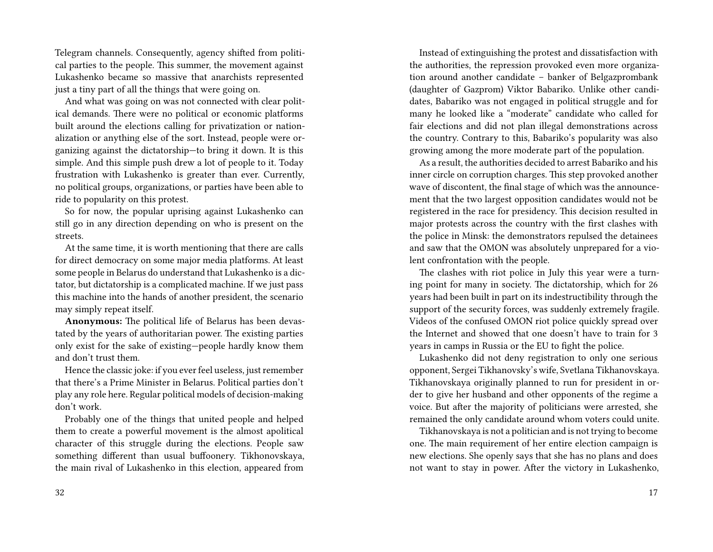Telegram channels. Consequently, agency shifted from political parties to the people. This summer, the movement against Lukashenko became so massive that anarchists represented just a tiny part of all the things that were going on.

And what was going on was not connected with clear political demands. There were no political or economic platforms built around the elections calling for privatization or nationalization or anything else of the sort. Instead, people were organizing against the dictatorship—to bring it down. It is this simple. And this simple push drew a lot of people to it. Today frustration with Lukashenko is greater than ever. Currently, no political groups, organizations, or parties have been able to ride to popularity on this protest.

So for now, the popular uprising against Lukashenko can still go in any direction depending on who is present on the streets.

At the same time, it is worth mentioning that there are calls for direct democracy on some major media platforms. At least some people in Belarus do understand that Lukashenko is a dictator, but dictatorship is a complicated machine. If we just pass this machine into the hands of another president, the scenario may simply repeat itself.

**Anonymous:** The political life of Belarus has been devastated by the years of authoritarian power. The existing parties only exist for the sake of existing—people hardly know them and don't trust them.

Hence the classic joke: if you ever feel useless, just remember that there's a Prime Minister in Belarus. Political parties don't play any role here. Regular political models of decision-making don't work.

Probably one of the things that united people and helped them to create a powerful movement is the almost apolitical character of this struggle during the elections. People saw something different than usual buffoonery. Tikhonovskaya, the main rival of Lukashenko in this election, appeared from

Instead of extinguishing the protest and dissatisfaction with the authorities, the repression provoked even more organization around another candidate – banker of Belgazprombank (daughter of Gazprom) Viktor Babariko. Unlike other candidates, Babariko was not engaged in political struggle and for many he looked like a "moderate" candidate who called for fair elections and did not plan illegal demonstrations across the country. Contrary to this, Babariko's popularity was also growing among the more moderate part of the population.

As a result, the authorities decided to arrest Babariko and his inner circle on corruption charges. This step provoked another wave of discontent, the final stage of which was the announcement that the two largest opposition candidates would not be registered in the race for presidency. This decision resulted in major protests across the country with the first clashes with the police in Minsk: the demonstrators repulsed the detainees and saw that the OMON was absolutely unprepared for a violent confrontation with the people.

The clashes with riot police in July this year were a turning point for many in society. The dictatorship, which for 26 years had been built in part on its indestructibility through the support of the security forces, was suddenly extremely fragile. Videos of the confused OMON riot police quickly spread over the Internet and showed that one doesn't have to train for 3 years in camps in Russia or the EU to fight the police.

Lukashenko did not deny registration to only one serious opponent, Sergei Tikhanovsky's wife, Svetlana Tikhanovskaya. Tikhanovskaya originally planned to run for president in order to give her husband and other opponents of the regime a voice. But after the majority of politicians were arrested, she remained the only candidate around whom voters could unite.

Tikhanovskaya is not a politician and is not trying to become one. The main requirement of her entire election campaign is new elections. She openly says that she has no plans and does not want to stay in power. After the victory in Lukashenko,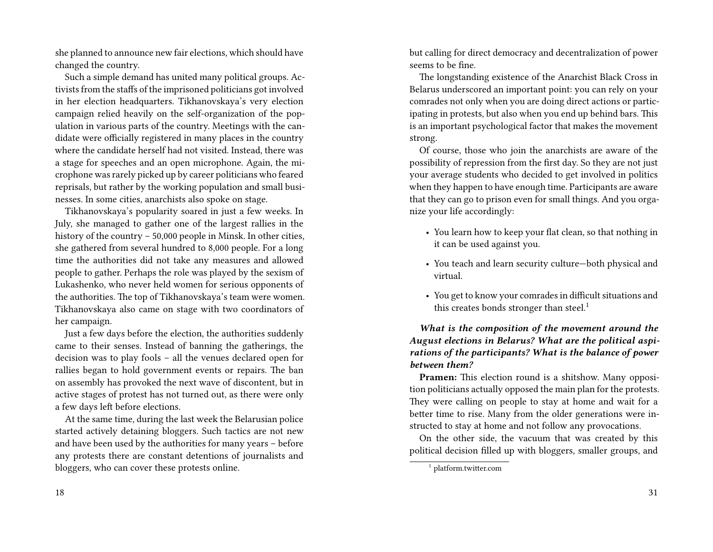she planned to announce new fair elections, which should have changed the country.

Such a simple demand has united many political groups. Activists from the staffs of the imprisoned politicians got involved in her election headquarters. Tikhanovskaya's very election campaign relied heavily on the self-organization of the population in various parts of the country. Meetings with the candidate were officially registered in many places in the country where the candidate herself had not visited. Instead, there was a stage for speeches and an open microphone. Again, the microphone was rarely picked up by career politicians who feared reprisals, but rather by the working population and small businesses. In some cities, anarchists also spoke on stage.

Tikhanovskaya's popularity soared in just a few weeks. In July, she managed to gather one of the largest rallies in the history of the country – 50,000 people in Minsk. In other cities, she gathered from several hundred to 8,000 people. For a long time the authorities did not take any measures and allowed people to gather. Perhaps the role was played by the sexism of Lukashenko, who never held women for serious opponents of the authorities. The top of Tikhanovskaya's team were women. Tikhanovskaya also came on stage with two coordinators of her campaign.

Just a few days before the election, the authorities suddenly came to their senses. Instead of banning the gatherings, the decision was to play fools – all the venues declared open for rallies began to hold government events or repairs. The ban on assembly has provoked the next wave of discontent, but in active stages of protest has not turned out, as there were only a few days left before elections.

At the same time, during the last week the Belarusian police started actively detaining bloggers. Such tactics are not new and have been used by the authorities for many years – before any protests there are constant detentions of journalists and bloggers, who can cover these protests online.

18

but calling for direct democracy and decentralization of power seems to be fine.

The longstanding existence of the Anarchist Black Cross in Belarus underscored an important point: you can rely on your comrades not only when you are doing direct actions or participating in protests, but also when you end up behind bars. This is an important psychological factor that makes the movement strong.

Of course, those who join the anarchists are aware of the possibility of repression from the first day. So they are not just your average students who decided to get involved in politics when they happen to have enough time. Participants are aware that they can go to prison even for small things. And you organize your life accordingly:

- You learn how to keep your flat clean, so that nothing in it can be used against you.
- You teach and learn security culture—both physical and virtual.
- You get to know your comrades in difficult situations and this creates bonds stronger than steel.<sup>1</sup>

*What is the composition of the movement around the August elections in Belarus? What are the political aspirations of the participants? What is the balance of power between them?*

**Pramen:** This election round is a shitshow. Many opposition politicians actually opposed the main plan for the protests. They were calling on people to stay at home and wait for a better time to rise. Many from the older generations were instructed to stay at home and not follow any provocations.

On the other side, the vacuum that was created by this political decision filled up with bloggers, smaller groups, and

<sup>1</sup> platform.twitter.com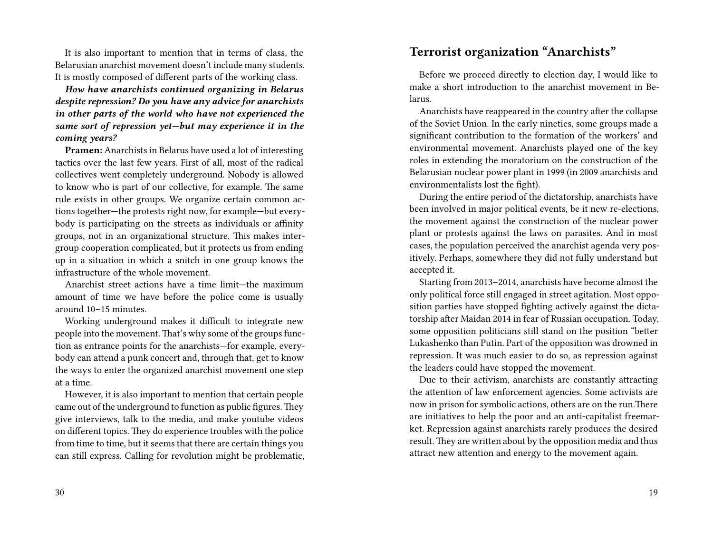It is also important to mention that in terms of class, the Belarusian anarchist movement doesn't include many students. It is mostly composed of different parts of the working class.

*How have anarchists continued organizing in Belarus despite repression? Do you have any advice for anarchists in other parts of the world who have not experienced the same sort of repression yet—but may experience it in the coming years?*

**Pramen:** Anarchists in Belarus have used a lot of interesting tactics over the last few years. First of all, most of the radical collectives went completely underground. Nobody is allowed to know who is part of our collective, for example. The same rule exists in other groups. We organize certain common actions together—the protests right now, for example—but everybody is participating on the streets as individuals or affinity groups, not in an organizational structure. This makes intergroup cooperation complicated, but it protects us from ending up in a situation in which a snitch in one group knows the infrastructure of the whole movement.

Anarchist street actions have a time limit—the maximum amount of time we have before the police come is usually around 10–15 minutes.

Working underground makes it difficult to integrate new people into the movement. That's why some of the groups function as entrance points for the anarchists—for example, everybody can attend a punk concert and, through that, get to know the ways to enter the organized anarchist movement one step at a time.

However, it is also important to mention that certain people came out of the underground to function as public figures.They give interviews, talk to the media, and make youtube videos on different topics. They do experience troubles with the police from time to time, but it seems that there are certain things you can still express. Calling for revolution might be problematic,

#### 30

### **Terrorist organization "Anarchists"**

Before we proceed directly to election day, I would like to make a short introduction to the anarchist movement in Belarus.

Anarchists have reappeared in the country after the collapse of the Soviet Union. In the early nineties, some groups made a significant contribution to the formation of the workers' and environmental movement. Anarchists played one of the key roles in extending the moratorium on the construction of the Belarusian nuclear power plant in 1999 (in 2009 anarchists and environmentalists lost the fight).

During the entire period of the dictatorship, anarchists have been involved in major political events, be it new re-elections, the movement against the construction of the nuclear power plant or protests against the laws on parasites. And in most cases, the population perceived the anarchist agenda very positively. Perhaps, somewhere they did not fully understand but accepted it.

Starting from 2013–2014, anarchists have become almost the only political force still engaged in street agitation. Most opposition parties have stopped fighting actively against the dictatorship after Maidan 2014 in fear of Russian occupation. Today, some opposition politicians still stand on the position "better Lukashenko than Putin. Part of the opposition was drowned in repression. It was much easier to do so, as repression against the leaders could have stopped the movement.

Due to their activism, anarchists are constantly attracting the attention of law enforcement agencies. Some activists are now in prison for symbolic actions, others are on the run.There are initiatives to help the poor and an anti-capitalist freemarket. Repression against anarchists rarely produces the desired result.They are written about by the opposition media and thus attract new attention and energy to the movement again.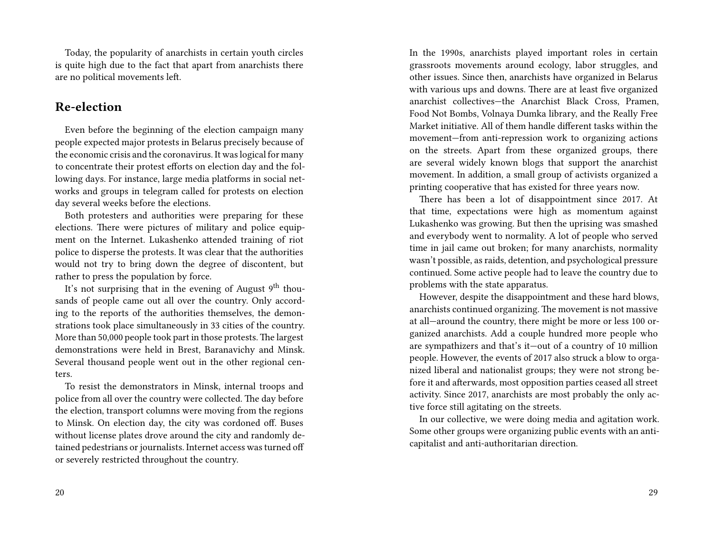Today, the popularity of anarchists in certain youth circles is quite high due to the fact that apart from anarchists there are no political movements left.

### **Re-election**

Even before the beginning of the election campaign many people expected major protests in Belarus precisely because of the economic crisis and the coronavirus. It was logical for many to concentrate their protest efforts on election day and the following days. For instance, large media platforms in social networks and groups in telegram called for protests on election day several weeks before the elections.

Both protesters and authorities were preparing for these elections. There were pictures of military and police equipment on the Internet. Lukashenko attended training of riot police to disperse the protests. It was clear that the authorities would not try to bring down the degree of discontent, but rather to press the population by force.

It's not surprising that in the evening of August 9<sup>th</sup> thousands of people came out all over the country. Only according to the reports of the authorities themselves, the demonstrations took place simultaneously in 33 cities of the country. More than 50,000 people took part in those protests. The largest demonstrations were held in Brest, Baranavichy and Minsk. Several thousand people went out in the other regional centers.

To resist the demonstrators in Minsk, internal troops and police from all over the country were collected. The day before the election, transport columns were moving from the regions to Minsk. On election day, the city was cordoned off. Buses without license plates drove around the city and randomly detained pedestrians or journalists. Internet access was turned off or severely restricted throughout the country.

In the 1990s, anarchists played important roles in certain grassroots movements around ecology, labor struggles, and other issues. Since then, anarchists have organized in Belarus with various ups and downs. There are at least five organized anarchist collectives—the Anarchist Black Cross, Pramen, Food Not Bombs, Volnaya Dumka library, and the Really Free Market initiative. All of them handle different tasks within the movement—from anti-repression work to organizing actions on the streets. Apart from these organized groups, there are several widely known blogs that support the anarchist movement. In addition, a small group of activists organized a printing cooperative that has existed for three years now.

There has been a lot of disappointment since 2017. At that time, expectations were high as momentum against Lukashenko was growing. But then the uprising was smashed and everybody went to normality. A lot of people who served time in jail came out broken; for many anarchists, normality wasn't possible, as raids, detention, and psychological pressure continued. Some active people had to leave the country due to problems with the state apparatus.

However, despite the disappointment and these hard blows, anarchists continued organizing. The movement is not massive at all—around the country, there might be more or less 100 organized anarchists. Add a couple hundred more people who are sympathizers and that's it—out of a country of 10 million people. However, the events of 2017 also struck a blow to organized liberal and nationalist groups; they were not strong before it and afterwards, most opposition parties ceased all street activity. Since 2017, anarchists are most probably the only active force still agitating on the streets.

In our collective, we were doing media and agitation work. Some other groups were organizing public events with an anticapitalist and anti-authoritarian direction.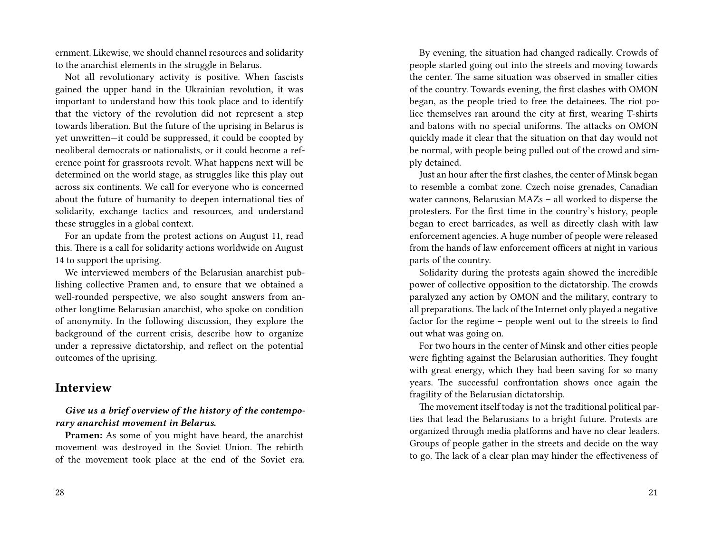ernment. Likewise, we should channel resources and solidarity to the anarchist elements in the struggle in Belarus.

Not all revolutionary activity is positive. When fascists gained the upper hand in the Ukrainian revolution, it was important to understand how this took place and to identify that the victory of the revolution did not represent a step towards liberation. But the future of the uprising in Belarus is yet unwritten—it could be suppressed, it could be coopted by neoliberal democrats or nationalists, or it could become a reference point for grassroots revolt. What happens next will be determined on the world stage, as struggles like this play out across six continents. We call for everyone who is concerned about the future of humanity to deepen international ties of solidarity, exchange tactics and resources, and understand these struggles in a global context.

For an update from the protest actions on August 11, read this. There is a call for solidarity actions worldwide on August 14 to support the uprising.

We interviewed members of the Belarusian anarchist publishing collective Pramen and, to ensure that we obtained a well-rounded perspective, we also sought answers from another longtime Belarusian anarchist, who spoke on condition of anonymity. In the following discussion, they explore the background of the current crisis, describe how to organize under a repressive dictatorship, and reflect on the potential outcomes of the uprising.

### **Interview**

### *Give us a brief overview of the history of the contemporary anarchist movement in Belarus.*

**Pramen:** As some of you might have heard, the anarchist movement was destroyed in the Soviet Union. The rebirth of the movement took place at the end of the Soviet era.

By evening, the situation had changed radically. Crowds of people started going out into the streets and moving towards the center. The same situation was observed in smaller cities of the country. Towards evening, the first clashes with OMON began, as the people tried to free the detainees. The riot police themselves ran around the city at first, wearing T-shirts and batons with no special uniforms. The attacks on OMON quickly made it clear that the situation on that day would not be normal, with people being pulled out of the crowd and simply detained.

Just an hour after the first clashes, the center of Minsk began to resemble a combat zone. Czech noise grenades, Canadian water cannons, Belarusian MAZs – all worked to disperse the protesters. For the first time in the country's history, people began to erect barricades, as well as directly clash with law enforcement agencies. A huge number of people were released from the hands of law enforcement officers at night in various parts of the country.

Solidarity during the protests again showed the incredible power of collective opposition to the dictatorship. The crowds paralyzed any action by OMON and the military, contrary to all preparations. The lack of the Internet only played a negative factor for the regime – people went out to the streets to find out what was going on.

For two hours in the center of Minsk and other cities people were fighting against the Belarusian authorities. They fought with great energy, which they had been saving for so many years. The successful confrontation shows once again the fragility of the Belarusian dictatorship.

The movement itself today is not the traditional political parties that lead the Belarusians to a bright future. Protests are organized through media platforms and have no clear leaders. Groups of people gather in the streets and decide on the way to go. The lack of a clear plan may hinder the effectiveness of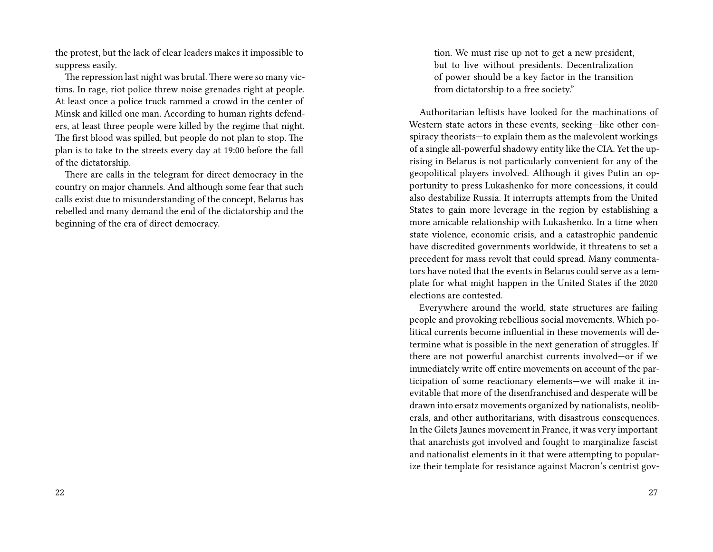the protest, but the lack of clear leaders makes it impossible to suppress easily.

The repression last night was brutal. There were so many victims. In rage, riot police threw noise grenades right at people. At least once a police truck rammed a crowd in the center of Minsk and killed one man. According to human rights defenders, at least three people were killed by the regime that night. The first blood was spilled, but people do not plan to stop. The plan is to take to the streets every day at 19:00 before the fall of the dictatorship.

There are calls in the telegram for direct democracy in the country on major channels. And although some fear that such calls exist due to misunderstanding of the concept, Belarus has rebelled and many demand the end of the dictatorship and the beginning of the era of direct democracy.

tion. We must rise up not to get a new president, but to live without presidents. Decentralization of power should be a key factor in the transition from dictatorship to a free society."

Authoritarian leftists have looked for the machinations of Western state actors in these events, seeking—like other conspiracy theorists—to explain them as the malevolent workings of a single all-powerful shadowy entity like the CIA. Yet the uprising in Belarus is not particularly convenient for any of the geopolitical players involved. Although it gives Putin an opportunity to press Lukashenko for more concessions, it could also destabilize Russia. It interrupts attempts from the United States to gain more leverage in the region by establishing a more amicable relationship with Lukashenko. In a time when state violence, economic crisis, and a catastrophic pandemic have discredited governments worldwide, it threatens to set a precedent for mass revolt that could spread. Many commentators have noted that the events in Belarus could serve as a template for what might happen in the United States if the 2020 elections are contested.

Everywhere around the world, state structures are failing people and provoking rebellious social movements. Which political currents become influential in these movements will determine what is possible in the next generation of struggles. If there are not powerful anarchist currents involved—or if we immediately write off entire movements on account of the participation of some reactionary elements—we will make it inevitable that more of the disenfranchised and desperate will be drawn into ersatz movements organized by nationalists, neoliberals, and other authoritarians, with disastrous consequences. In the Gilets Jaunes movement in France, it was very important that anarchists got involved and fought to marginalize fascist and nationalist elements in it that were attempting to popularize their template for resistance against Macron's centrist gov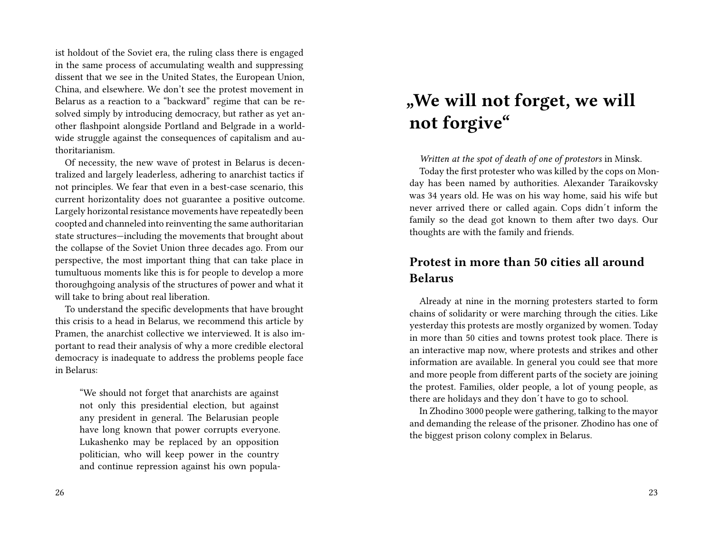ist holdout of the Soviet era, the ruling class there is engaged in the same process of accumulating wealth and suppressing dissent that we see in the United States, the European Union, China, and elsewhere. We don't see the protest movement in Belarus as a reaction to a "backward" regime that can be resolved simply by introducing democracy, but rather as yet another flashpoint alongside Portland and Belgrade in a worldwide struggle against the consequences of capitalism and authoritarianism.

Of necessity, the new wave of protest in Belarus is decentralized and largely leaderless, adhering to anarchist tactics if not principles. We fear that even in a best-case scenario, this current horizontality does not guarantee a positive outcome. Largely horizontal resistance movements have repeatedly been coopted and channeled into reinventing the same authoritarian state structures—including the movements that brought about the collapse of the Soviet Union three decades ago. From our perspective, the most important thing that can take place in tumultuous moments like this is for people to develop a more thoroughgoing analysis of the structures of power and what it will take to bring about real liberation.

To understand the specific developments that have brought this crisis to a head in Belarus, we recommend this article by Pramen, the anarchist collective we interviewed. It is also important to read their analysis of why a more credible electoral democracy is inadequate to address the problems people face in Belarus:

"We should not forget that anarchists are against not only this presidential election, but against any president in general. The Belarusian people have long known that power corrupts everyone. Lukashenko may be replaced by an opposition politician, who will keep power in the country and continue repression against his own popula-

# **"We will not forget, we will not forgive"**

*Written at the spot of death of one of protestors* in Minsk.

Today the first protester who was killed by the cops on Monday has been named by authorities. Alexander Taraikovsky was 34 years old. He was on his way home, said his wife but never arrived there or called again. Cops didn´t inform the family so the dead got known to them after two days. Our thoughts are with the family and friends.

### **Protest in more than 50 cities all around Belarus**

Already at nine in the morning protesters started to form chains of solidarity or were marching through the cities. Like yesterday this protests are mostly organized by women. Today in more than 50 cities and towns protest took place. There is an interactive map now, where protests and strikes and other information are available. In general you could see that more and more people from different parts of the society are joining the protest. Families, older people, a lot of young people, as there are holidays and they don´t have to go to school.

In Zhodino 3000 people were gathering, talking to the mayor and demanding the release of the prisoner. Zhodino has one of the biggest prison colony complex in Belarus.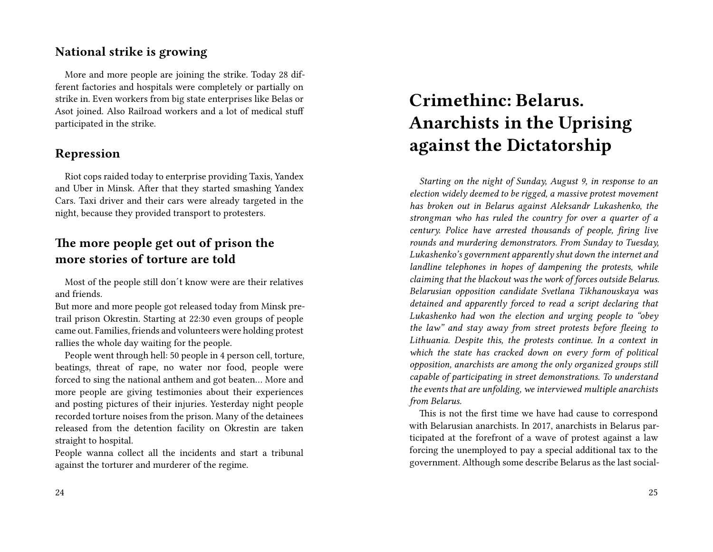### **National strike is growing**

More and more people are joining the strike. Today 28 different factories and hospitals were completely or partially on strike in. Even workers from big state enterprises like Belas or Asot joined. Also Railroad workers and a lot of medical stuff participated in the strike.

### **Repression**

Riot cops raided today to enterprise providing Taxis, Yandex and Uber in Minsk. After that they started smashing Yandex Cars. Taxi driver and their cars were already targeted in the night, because they provided transport to protesters.

### **The more people get out of prison the more stories of torture are told**

Most of the people still don´t know were are their relatives and friends.

But more and more people got released today from Minsk pretrail prison Okrestin. Starting at 22:30 even groups of people came out. Families, friends and volunteers were holding protest rallies the whole day waiting for the people.

People went through hell: 50 people in 4 person cell, torture, beatings, threat of rape, no water nor food, people were forced to sing the national anthem and got beaten… More and more people are giving testimonies about their experiences and posting pictures of their injuries. Yesterday night people recorded torture noises from the prison. Many of the detainees released from the detention facility on Okrestin are taken straight to hospital.

People wanna collect all the incidents and start a tribunal against the torturer and murderer of the regime.

# **Crimethinc: Belarus. Anarchists in the Uprising against the Dictatorship**

*Starting on the night of Sunday, August 9, in response to an election widely deemed to be rigged, a massive protest movement has broken out in Belarus against Aleksandr Lukashenko, the strongman who has ruled the country for over a quarter of a century. Police have arrested thousands of people, firing live rounds and murdering demonstrators. From Sunday to Tuesday, Lukashenko's government apparently shut down the internet and landline telephones in hopes of dampening the protests, while claiming that the blackout was the work of forces outside Belarus. Belarusian opposition candidate Svetlana Tikhanouskaya was detained and apparently forced to read a script declaring that Lukashenko had won the election and urging people to "obey the law" and stay away from street protests before fleeing to Lithuania. Despite this, the protests continue. In a context in which the state has cracked down on every form of political opposition, anarchists are among the only organized groups still capable of participating in street demonstrations. To understand the events that are unfolding, we interviewed multiple anarchists from Belarus.*

This is not the first time we have had cause to correspond with Belarusian anarchists. In 2017, anarchists in Belarus participated at the forefront of a wave of protest against a law forcing the unemployed to pay a special additional tax to the government. Although some describe Belarus as the last social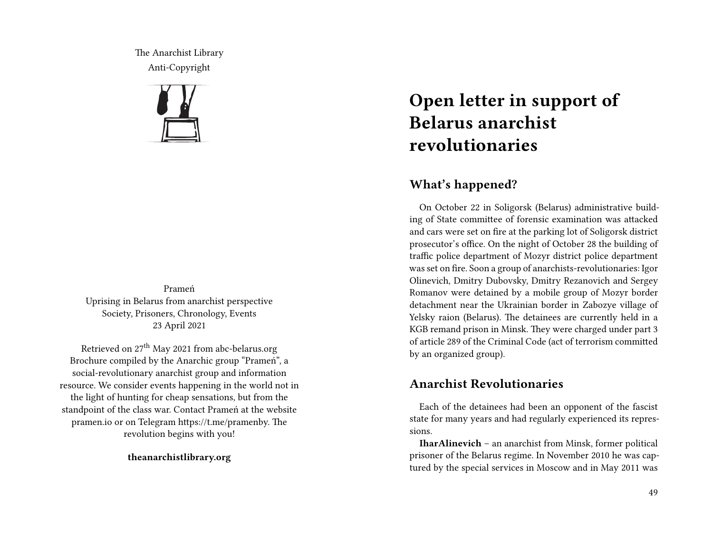The Anarchist Library Anti-Copyright



Prameń Uprising in Belarus from anarchist perspective Society, Prisoners, Chronology, Events 23 April 2021

Retrieved on 27<sup>th</sup> May 2021 from abc-belarus.org Brochure compiled by the Anarchic group "Prameń", a social-revolutionary anarchist group and information resource. We consider events happening in the world not in the light of hunting for cheap sensations, but from the standpoint of the class war. Contact Prameń at the website pramen.io or on Telegram https://t.me/pramenby. The revolution begins with you!

**theanarchistlibrary.org**

# **Open letter in support of Belarus anarchist revolutionaries**

### **What's happened?**

On October 22 in Soligorsk (Belarus) administrative building of State committee of forensic examination was attacked and cars were set on fire at the parking lot of Soligorsk district prosecutor's office. On the night of October 28 the building of traffic police department of Mozyr district police department was set on fire. Soon a group of anarchists-revolutionaries: Igor Olinevich, Dmitry Dubovsky, Dmitry Rezanovich and Sergey Romanov were detained by a mobile group of Mozyr border detachment near the Ukrainian border in Zabozye village of Yelsky raion (Belarus). The detainees are currently held in a KGB remand prison in Minsk. They were charged under part 3 of article 289 of the Criminal Code (act of terrorism committed by an organized group).

### **Anarchist Revolutionaries**

Each of the detainees had been an opponent of the fascist state for many years and had regularly experienced its repressions.

**IharAlinevich** – an anarchist from Minsk, former political prisoner of the Belarus regime. In November 2010 he was captured by the special services in Moscow and in May 2011 was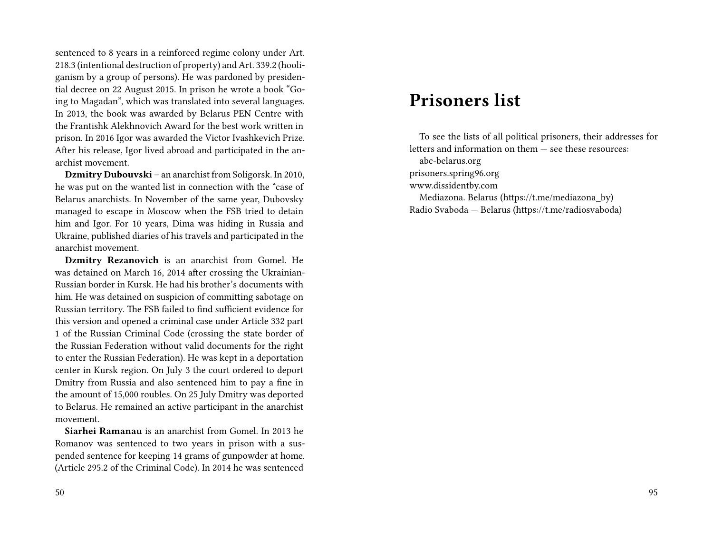sentenced to 8 years in a reinforced regime colony under Art. 218.3 (intentional destruction of property) and Art. 339.2 (hooliganism by a group of persons). He was pardoned by presidential decree on 22 August 2015. In prison he wrote a book "Going to Magadan", which was translated into several languages. In 2013, the book was awarded by Belarus PEN Centre with the Frantishk Alekhnovich Award for the best work written in prison. In 2016 Igor was awarded the Victor Ivashkevich Prize. After his release, Igor lived abroad and participated in the anarchist movement.

**Dzmitry Dubouvski** – an anarchist from Soligorsk. In 2010, he was put on the wanted list in connection with the "case of Belarus anarchists. In November of the same year, Dubovsky managed to escape in Moscow when the FSB tried to detain him and Igor. For 10 years, Dima was hiding in Russia and Ukraine, published diaries of his travels and participated in the anarchist movement.

**Dzmitry Rezanovich** is an anarchist from Gomel. He was detained on March 16, 2014 after crossing the Ukrainian-Russian border in Kursk. He had his brother's documents with him. He was detained on suspicion of committing sabotage on Russian territory. The FSB failed to find sufficient evidence for this version and opened a criminal case under Article 332 part 1 of the Russian Criminal Code (crossing the state border of the Russian Federation without valid documents for the right to enter the Russian Federation). He was kept in a deportation center in Kursk region. On July 3 the court ordered to deport Dmitry from Russia and also sentenced him to pay a fine in the amount of 15,000 roubles. On 25 July Dmitry was deported to Belarus. He remained an active participant in the anarchist movement.

**Siarhei Ramanau** is an anarchist from Gomel. In 2013 he Romanov was sentenced to two years in prison with a suspended sentence for keeping 14 grams of gunpowder at home. (Article 295.2 of the Criminal Code). In 2014 he was sentenced

#### 50

## **Prisoners list**

To see the lists of all political prisoners, their addresses for letters and information on them — see these resources:

abc-belarus.org

prisoners.spring96.org

www.dissidentby.com

Mediazona. Belarus (https://t.me/mediazona\_by) Radio Svaboda — Belarus (https://t.me/radiosvaboda)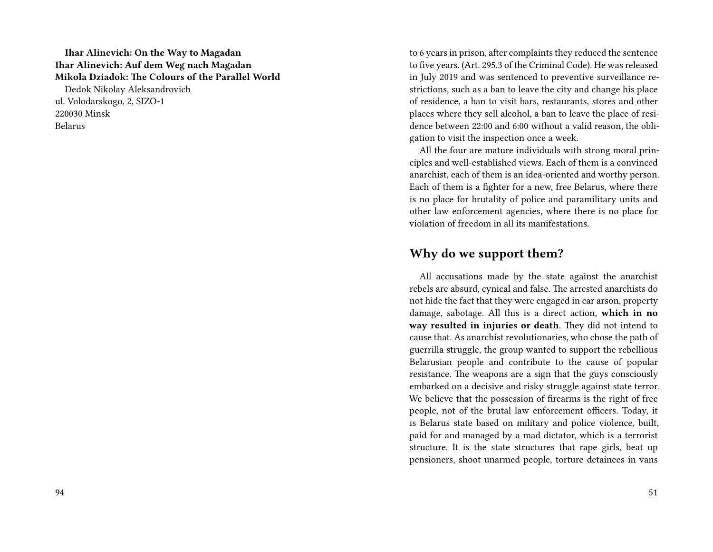### **Ihar Alinevich: On the Way to Magadan Ihar Alinevich: Auf dem Weg nach Magadan Mikola Dziadok: The Colours of the Parallel World** Dedok Nikolay Aleksandrovich ul. Volodarskogo, 2, SIZO-1 220030 Minsk Belarus

to 6 years in prison, after complaints they reduced the sentence to five years. (Art. 295.3 of the Criminal Code). He was released in July 2019 and was sentenced to preventive surveillance restrictions, such as a ban to leave the city and change his place of residence, a ban to visit bars, restaurants, stores and other places where they sell alcohol, a ban to leave the place of residence between 22:00 and 6:00 without a valid reason, the obligation to visit the inspection once a week.

All the four are mature individuals with strong moral principles and well-established views. Each of them is a convinced anarchist, each of them is an idea-oriented and worthy person. Each of them is a fighter for a new, free Belarus, where there is no place for brutality of police and paramilitary units and other law enforcement agencies, where there is no place for violation of freedom in all its manifestations.

### **Why do we support them?**

All accusations made by the state against the anarchist rebels are absurd, cynical and false. The arrested anarchists do not hide the fact that they were engaged in car arson, property damage, sabotage. All this is a direct action, **which in no way resulted in injuries or death**. They did not intend to cause that. As anarchist revolutionaries, who chose the path of guerrilla struggle, the group wanted to support the rebellious Belarusian people and contribute to the cause of popular resistance. The weapons are a sign that the guys consciously embarked on a decisive and risky struggle against state terror. We believe that the possession of firearms is the right of free people, not of the brutal law enforcement officers. Today, it is Belarus state based on military and police violence, built, paid for and managed by a mad dictator, which is a terrorist structure. It is the state structures that rape girls, beat up pensioners, shoot unarmed people, torture detainees in vans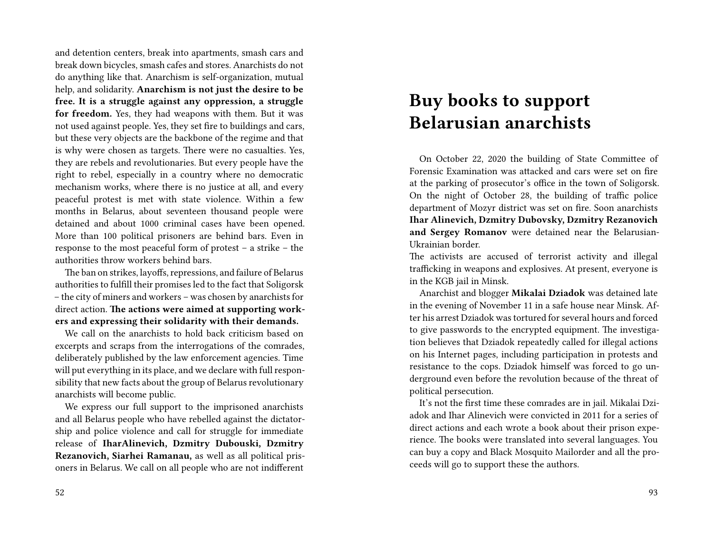and detention centers, break into apartments, smash cars and break down bicycles, smash cafes and stores. Anarchists do not do anything like that. Anarchism is self-organization, mutual help, and solidarity. **Anarchism is not just the desire to be free. It is a struggle against any oppression, a struggle for freedom.** Yes, they had weapons with them. But it was not used against people. Yes, they set fire to buildings and cars, but these very objects are the backbone of the regime and that is why were chosen as targets. There were no casualties. Yes, they are rebels and revolutionaries. But every people have the right to rebel, especially in a country where no democratic mechanism works, where there is no justice at all, and every peaceful protest is met with state violence. Within a few months in Belarus, about seventeen thousand people were detained and about 1000 criminal cases have been opened. More than 100 political prisoners are behind bars. Even in response to the most peaceful form of protest – a strike – the authorities throw workers behind bars.

The ban on strikes, layoffs, repressions, and failure of Belarus authorities to fulfill their promises led to the fact that Soligorsk – the city of miners and workers – was chosen by anarchists for direct action. **The actions were aimed at supporting workers and expressing their solidarity with their demands.**

We call on the anarchists to hold back criticism based on excerpts and scraps from the interrogations of the comrades, deliberately published by the law enforcement agencies. Time will put everything in its place, and we declare with full responsibility that new facts about the group of Belarus revolutionary anarchists will become public.

We express our full support to the imprisoned anarchists and all Belarus people who have rebelled against the dictatorship and police violence and call for struggle for immediate release of **IharAlinevich, Dzmitry Dubouski, Dzmitry Rezanovich, Siarhei Ramanau,** as well as all political prisoners in Belarus. We call on all people who are not indifferent

## **Buy books to support Belarusian anarchists**

On October 22, 2020 the building of State Committee of Forensic Examination was attacked and cars were set on fire at the parking of prosecutor's office in the town of Soligorsk. On the night of October 28, the building of traffic police department of Mozyr district was set on fire. Soon anarchists **Ihar Alinevich, Dzmitry Dubovsky, Dzmitry Rezanovich and Sergey Romanov** were detained near the Belarusian-Ukrainian border.

The activists are accused of terrorist activity and illegal trafficking in weapons and explosives. At present, everyone is in the KGB jail in Minsk.

Anarchist and blogger **Mikalai Dziadok** was detained late in the evening of November 11 in a safe house near Minsk. After his arrest Dziadok was tortured for several hours and forced to give passwords to the encrypted equipment. The investigation believes that Dziadok repeatedly called for illegal actions on his Internet pages, including participation in protests and resistance to the cops. Dziadok himself was forced to go underground even before the revolution because of the threat of political persecution.

It's not the first time these comrades are in jail. Mikalai Dziadok and Ihar Alinevich were convicted in 2011 for a series of direct actions and each wrote a book about their prison experience. The books were translated into several languages. You can buy a copy and Black Mosquito Mailorder and all the proceeds will go to support these the authors.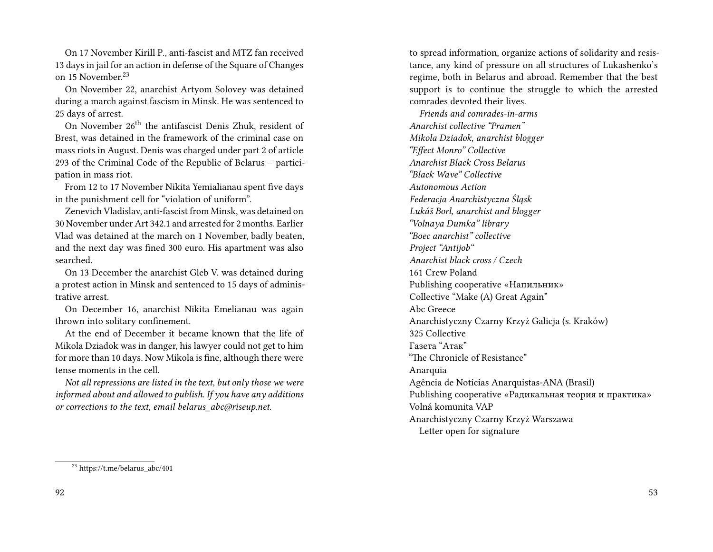On 17 November Kirill P., anti-fascist and MTZ fan received 13 days in jail for an action in defense of the Square of Changes on 15 November.<sup>23</sup>

On November 22, anarchist Artyom Solovey was detained during a march against fascism in Minsk. He was sentenced to 25 days of arrest.

On November 26<sup>th</sup> the antifascist Denis Zhuk, resident of Brest, was detained in the framework of the criminal case on mass riots in August. Denis was charged under part 2 of article 293 of the Criminal Code of the Republic of Belarus – participation in mass riot.

From 12 to 17 November Nikita Yemialianau spent five days in the punishment cell for "violation of uniform".

Zenevich Vladislav, anti-fascist from Minsk, was detained on 30 November under Art 342.1 and arrested for 2 months. Earlier Vlad was detained at the march on 1 November, badly beaten, and the next day was fined 300 euro. His apartment was also searched.

On 13 December the anarchist Gleb V. was detained during a protest action in Minsk and sentenced to 15 days of administrative arrest.

On December 16, anarchist Nikita Emelianau was again thrown into solitary confinement.

At the end of December it became known that the life of Mikola Dziadok was in danger, his lawyer could not get to him for more than 10 days. Now Mikola is fine, although there were tense moments in the cell.

*Not all repressions are listed in the text, but only those we were informed about and allowed to publish. If you have any additions or corrections to the text, email belarus\_abc@riseup.net.*

to spread information, organize actions of solidarity and resistance, any kind of pressure on all structures of Lukashenko's regime, both in Belarus and abroad. Remember that the best support is to continue the struggle to which the arrested comrades devoted their lives.

*Friends and comrades-in-arms Anarchist collective "Pramen" Mikola Dziadok, anarchist blogger "Effect Monro" Collective Anarchist Black Cross Belarus "Black Wave" Collective Autonomous Action Federacja Anarchistyczna Śląsk Lukáš Borl, anarchist and blogger "Volnaya Dumka" library "Boec anarchist" collective Project "Antijob" Anarchist black cross / Czech* 161 Crew Poland Publishing cooperative «Напильник» Collective "Make (A) Great Again" Abc Greece Anarchistyczny Czarny Krzyż Galicja (s. Kraków) 325 Collective Газета "Атак" "The Chronicle of Resistance" Anarquia Agência de Notícias Anarquistas-ANA (Brasil) Publishing cooperative «Радикальная теория и практика» Volná komunita VAP Anarchistyczny Czarny Krzyż Warszawa Letter open for signature

<sup>23</sup> https://t.me/belarus\_abc/401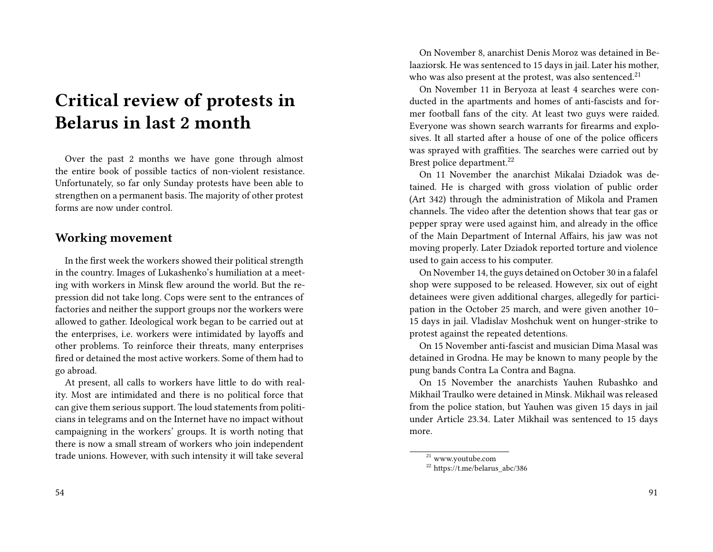## **Critical review of protests in Belarus in last 2 month**

Over the past 2 months we have gone through almost the entire book of possible tactics of non-violent resistance. Unfortunately, so far only Sunday protests have been able to strengthen on a permanent basis. The majority of other protest forms are now under control.

### **Working movement**

In the first week the workers showed their political strength in the country. Images of Lukashenko's humiliation at a meeting with workers in Minsk flew around the world. But the repression did not take long. Cops were sent to the entrances of factories and neither the support groups nor the workers were allowed to gather. Ideological work began to be carried out at the enterprises, i.e. workers were intimidated by layoffs and other problems. To reinforce their threats, many enterprises fired or detained the most active workers. Some of them had to go abroad.

At present, all calls to workers have little to do with reality. Most are intimidated and there is no political force that can give them serious support. The loud statements from politicians in telegrams and on the Internet have no impact without campaigning in the workers' groups. It is worth noting that there is now a small stream of workers who join independent trade unions. However, with such intensity it will take several

On November 8, anarchist Denis Moroz was detained in Belaaziorsk. He was sentenced to 15 days in jail. Later his mother, who was also present at the protest, was also sentenced.<sup>21</sup>

On November 11 in Beryoza at least 4 searches were conducted in the apartments and homes of anti-fascists and former football fans of the city. At least two guys were raided. Everyone was shown search warrants for firearms and explosives. It all started after a house of one of the police officers was sprayed with graffities. The searches were carried out by Brest police department.<sup>22</sup>

On 11 November the anarchist Mikalai Dziadok was detained. He is charged with gross violation of public order (Art 342) through the administration of Mikola and Pramen channels. The video after the detention shows that tear gas or pepper spray were used against him, and already in the office of the Main Department of Internal Affairs, his jaw was not moving properly. Later Dziadok reported torture and violence used to gain access to his computer.

On November 14, the guys detained on October 30 in a falafel shop were supposed to be released. However, six out of eight detainees were given additional charges, allegedly for participation in the October 25 march, and were given another 10– 15 days in jail. Vladislav Moshchuk went on hunger-strike to protest against the repeated detentions.

On 15 November anti-fascist and musician Dima Masal was detained in Grodna. He may be known to many people by the pung bands Contra La Contra and Bagna.

On 15 November the anarchists Yauhen Rubashko and Mikhail Traulko were detained in Minsk. Mikhail was released from the police station, but Yauhen was given 15 days in jail under Article 23.34. Later Mikhail was sentenced to 15 days more.

 $\sqrt[21]{21}$  www.youtube.com

 $22$  https://t.me/belarus\_abc/386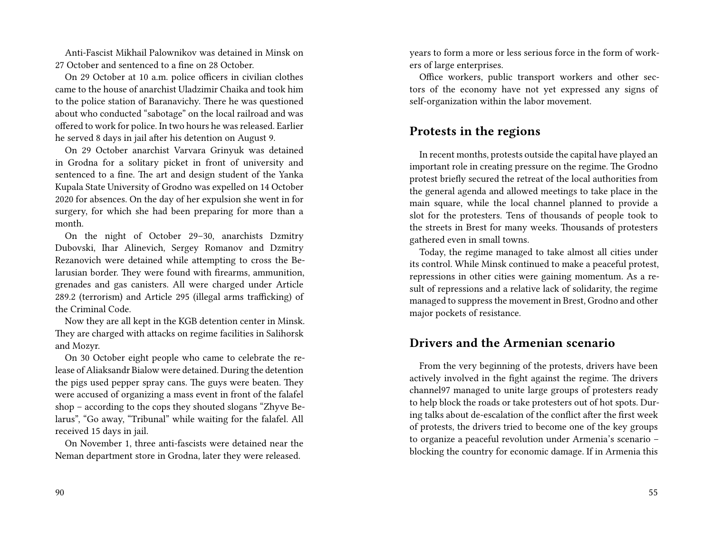Anti-Fascist Mikhail Palownikov was detained in Minsk on 27 October and sentenced to a fine on 28 October.

On 29 October at 10 a.m. police officers in civilian clothes came to the house of anarchist Uladzimir Chaika and took him to the police station of Baranavichy. There he was questioned about who conducted "sabotage" on the local railroad and was offered to work for police. In two hours he was released. Earlier he served 8 days in jail after his detention on August 9.

On 29 October anarchist Varvara Grinyuk was detained in Grodna for a solitary picket in front of university and sentenced to a fine. The art and design student of the Yanka Kupala State University of Grodno was expelled on 14 October 2020 for absences. On the day of her expulsion she went in for surgery, for which she had been preparing for more than a month.

On the night of October 29–30, anarchists Dzmitry Dubovski, Ihar Alinevich, Sergey Romanov and Dzmitry Rezanovich were detained while attempting to cross the Belarusian border. They were found with firearms, ammunition, grenades and gas canisters. All were charged under Article 289.2 (terrorism) and Article 295 (illegal arms trafficking) of the Criminal Code.

Now they are all kept in the KGB detention center in Minsk. They are charged with attacks on regime facilities in Salihorsk and Mozyr.

On 30 October eight people who came to celebrate the release of Aliaksandr Bialow were detained. During the detention the pigs used pepper spray cans. The guys were beaten. They were accused of organizing a mass event in front of the falafel shop – according to the cops they shouted slogans "Zhyve Belarus", "Go away, "Tribunal" while waiting for the falafel. All received 15 days in jail.

On November 1, three anti-fascists were detained near the Neman department store in Grodna, later they were released.

years to form a more or less serious force in the form of workers of large enterprises.

Office workers, public transport workers and other sectors of the economy have not yet expressed any signs of self-organization within the labor movement.

### **Protests in the regions**

In recent months, protests outside the capital have played an important role in creating pressure on the regime. The Grodno protest briefly secured the retreat of the local authorities from the general agenda and allowed meetings to take place in the main square, while the local channel planned to provide a slot for the protesters. Tens of thousands of people took to the streets in Brest for many weeks. Thousands of protesters gathered even in small towns.

Today, the regime managed to take almost all cities under its control. While Minsk continued to make a peaceful protest, repressions in other cities were gaining momentum. As a result of repressions and a relative lack of solidarity, the regime managed to suppress the movement in Brest, Grodno and other major pockets of resistance.

### **Drivers and the Armenian scenario**

From the very beginning of the protests, drivers have been actively involved in the fight against the regime. The drivers channel97 managed to unite large groups of protesters ready to help block the roads or take protesters out of hot spots. During talks about de-escalation of the conflict after the first week of protests, the drivers tried to become one of the key groups to organize a peaceful revolution under Armenia's scenario – blocking the country for economic damage. If in Armenia this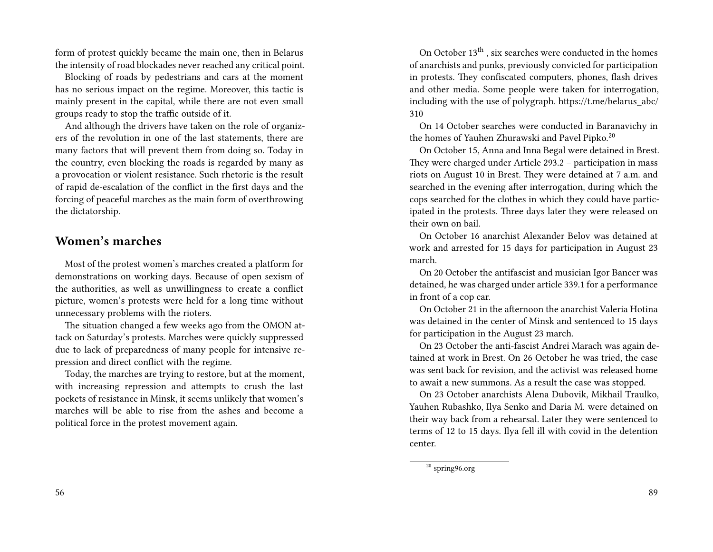form of protest quickly became the main one, then in Belarus the intensity of road blockades never reached any critical point.

Blocking of roads by pedestrians and cars at the moment has no serious impact on the regime. Moreover, this tactic is mainly present in the capital, while there are not even small groups ready to stop the traffic outside of it.

And although the drivers have taken on the role of organizers of the revolution in one of the last statements, there are many factors that will prevent them from doing so. Today in the country, even blocking the roads is regarded by many as a provocation or violent resistance. Such rhetoric is the result of rapid de-escalation of the conflict in the first days and the forcing of peaceful marches as the main form of overthrowing the dictatorship.

### **Women's marches**

Most of the protest women's marches created a platform for demonstrations on working days. Because of open sexism of the authorities, as well as unwillingness to create a conflict picture, women's protests were held for a long time without unnecessary problems with the rioters.

The situation changed a few weeks ago from the OMON attack on Saturday's protests. Marches were quickly suppressed due to lack of preparedness of many people for intensive repression and direct conflict with the regime.

Today, the marches are trying to restore, but at the moment, with increasing repression and attempts to crush the last pockets of resistance in Minsk, it seems unlikely that women's marches will be able to rise from the ashes and become a political force in the protest movement again.

On October 13<sup>th</sup>, six searches were conducted in the homes of anarchists and punks, previously convicted for participation in protests. They confiscated computers, phones, flash drives and other media. Some people were taken for interrogation, including with the use of polygraph. https://t.me/belarus\_abc/ 310

On 14 October searches were conducted in Baranavichy in the homes of Yauhen Zhurawski and Pavel Pipko.<sup>20</sup>

On October 15, Anna and Inna Begal were detained in Brest. They were charged under Article 293.2 – participation in mass riots on August 10 in Brest. They were detained at 7 a.m. and searched in the evening after interrogation, during which the cops searched for the clothes in which they could have participated in the protests. Three days later they were released on their own on bail.

On October 16 anarchist Alexander Belov was detained at work and arrested for 15 days for participation in August 23 march.

On 20 October the antifascist and musician Igor Bancer was detained, he was charged under article 339.1 for a performance in front of a cop car.

On October 21 in the afternoon the anarchist Valeria Hotina was detained in the center of Minsk and sentenced to 15 days for participation in the August 23 march.

On 23 October the anti-fascist Andrei Marach was again detained at work in Brest. On 26 October he was tried, the case was sent back for revision, and the activist was released home to await a new summons. As a result the case was stopped.

On 23 October anarchists Alena Dubovik, Mikhail Traulko, Yauhen Rubashko, Ilya Senko and Daria M. were detained on their way back from a rehearsal. Later they were sentenced to terms of 12 to 15 days. Ilya fell ill with covid in the detention center.

<sup>20</sup> spring96.org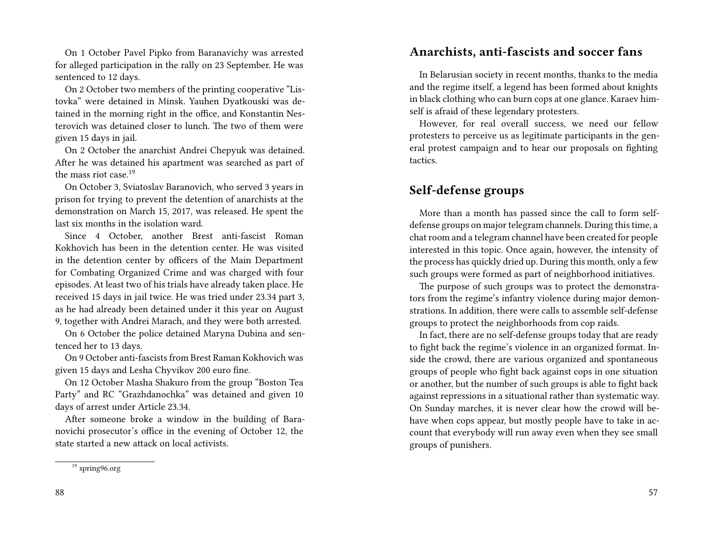On 1 October Pavel Pipko from Baranavichy was arrested for alleged participation in the rally on 23 September. He was sentenced to 12 days.

On 2 October two members of the printing cooperative "Listovka" were detained in Minsk. Yauhen Dyatkouski was detained in the morning right in the office, and Konstantin Nesterovich was detained closer to lunch. The two of them were given 15 days in jail.

On 2 October the anarchist Andrei Chepyuk was detained. After he was detained his apartment was searched as part of the mass riot case  $19$ 

On October 3, Sviatoslav Baranovich, who served 3 years in prison for trying to prevent the detention of anarchists at the demonstration on March 15, 2017, was released. He spent the last six months in the isolation ward.

Since 4 October, another Brest anti-fascist Roman Kokhovich has been in the detention center. He was visited in the detention center by officers of the Main Department for Combating Organized Crime and was charged with four episodes. At least two of his trials have already taken place. He received 15 days in jail twice. He was tried under 23.34 part 3, as he had already been detained under it this year on August 9, together with Andrei Marach, and they were both arrested.

On 6 October the police detained Maryna Dubina and sentenced her to 13 days.

On 9 October anti-fascists from Brest Raman Kokhovich was given 15 days and Lesha Chyvikov 200 euro fine.

On 12 October Masha Shakuro from the group "Boston Tea Party" and RC "Grazhdanochka" was detained and given 10 days of arrest under Article 23.34.

After someone broke a window in the building of Baranovichi prosecutor's office in the evening of October 12, the state started a new attack on local activists.

### **Anarchists, anti-fascists and soccer fans**

In Belarusian society in recent months, thanks to the media and the regime itself, a legend has been formed about knights in black clothing who can burn cops at one glance. Karaev himself is afraid of these legendary protesters.

However, for real overall success, we need our fellow protesters to perceive us as legitimate participants in the general protest campaign and to hear our proposals on fighting tactics.

### **Self-defense groups**

More than a month has passed since the call to form selfdefense groups on major telegram channels. During this time, a chat room and a telegram channel have been created for people interested in this topic. Once again, however, the intensity of the process has quickly dried up. During this month, only a few such groups were formed as part of neighborhood initiatives.

The purpose of such groups was to protect the demonstrators from the regime's infantry violence during major demonstrations. In addition, there were calls to assemble self-defense groups to protect the neighborhoods from cop raids.

In fact, there are no self-defense groups today that are ready to fight back the regime's violence in an organized format. Inside the crowd, there are various organized and spontaneous groups of people who fight back against cops in one situation or another, but the number of such groups is able to fight back against repressions in a situational rather than systematic way. On Sunday marches, it is never clear how the crowd will behave when cops appear, but mostly people have to take in account that everybody will run away even when they see small groups of punishers.

<sup>19</sup> spring96.org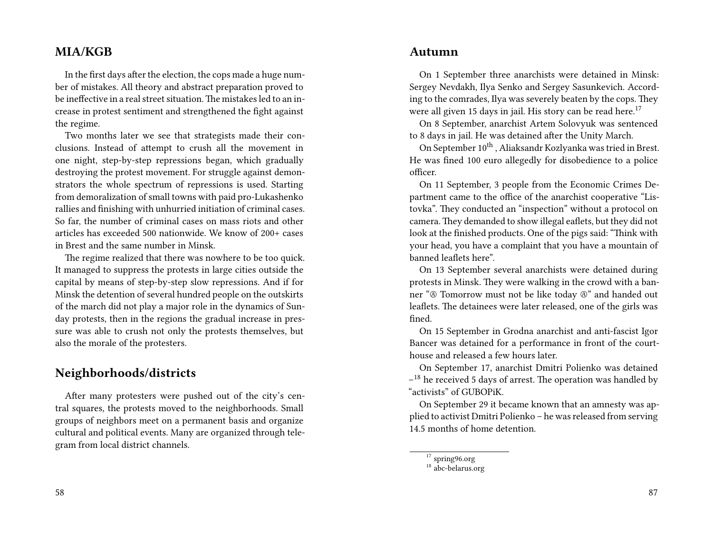### **MIA/KGB**

In the first days after the election, the cops made a huge number of mistakes. All theory and abstract preparation proved to be ineffective in a real street situation.The mistakes led to an increase in protest sentiment and strengthened the fight against the regime.

Two months later we see that strategists made their conclusions. Instead of attempt to crush all the movement in one night, step-by-step repressions began, which gradually destroying the protest movement. For struggle against demonstrators the whole spectrum of repressions is used. Starting from demoralization of small towns with paid pro-Lukashenko rallies and finishing with unhurried initiation of criminal cases. So far, the number of criminal cases on mass riots and other articles has exceeded 500 nationwide. We know of 200+ cases in Brest and the same number in Minsk.

The regime realized that there was nowhere to be too quick. It managed to suppress the protests in large cities outside the capital by means of step-by-step slow repressions. And if for Minsk the detention of several hundred people on the outskirts of the march did not play a major role in the dynamics of Sunday protests, then in the regions the gradual increase in pressure was able to crush not only the protests themselves, but also the morale of the protesters.

### **Neighborhoods/districts**

After many protesters were pushed out of the city's central squares, the protests moved to the neighborhoods. Small groups of neighbors meet on a permanent basis and organize cultural and political events. Many are organized through telegram from local district channels.

On 1 September three anarchists were detained in Minsk: Sergey Nevdakh, Ilya Senko and Sergey Sasunkevich. According to the comrades, Ilya was severely beaten by the cops. They were all given 15 days in jail. His story can be read here.<sup>17</sup>

On 8 September, anarchist Artem Solovyuk was sentenced to 8 days in jail. He was detained after the Unity March.

On September 10<sup>th</sup>, Aliaksandr Kozlyanka was tried in Brest. He was fined 100 euro allegedly for disobedience to a police officer.

On 11 September, 3 people from the Economic Crimes Department came to the office of the anarchist cooperative "Listovka". They conducted an "inspection" without a protocol on camera. They demanded to show illegal eaflets, but they did not look at the finished products. One of the pigs said: "Think with your head, you have a complaint that you have a mountain of banned leaflets here".

On 13 September several anarchists were detained during protests in Minsk. They were walking in the crowd with a banner "Ⓐ Tomorrow must not be like today Ⓐ" and handed out leaflets. The detainees were later released, one of the girls was fined.

On 15 September in Grodna anarchist and anti-fascist Igor Bancer was detained for a performance in front of the courthouse and released a few hours later.

On September 17, anarchist Dmitri Polienko was detained <sup>-18</sup> he received 5 days of arrest. The operation was handled by "activists" of GUBOPiK.

On September 29 it became known that an amnesty was applied to activist Dmitri Polienko – he was released from serving 14.5 months of home detention.

<sup>&</sup>lt;sup>17</sup> spring96.org

 $18 \text{ h}$ <sup>18</sup> abc-belarus.org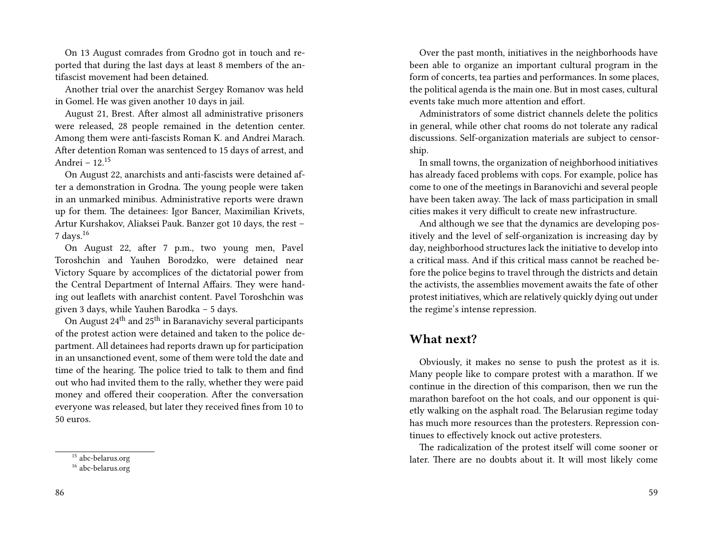On 13 August comrades from Grodno got in touch and reported that during the last days at least 8 members of the antifascist movement had been detained.

Another trial over the anarchist Sergey Romanov was held in Gomel. He was given another 10 days in jail.

August 21, Brest. After almost all administrative prisoners were released, 28 people remained in the detention center. Among them were anti-fascists Roman K. and Andrei Marach. After detention Roman was sentenced to 15 days of arrest, and Andrei – 12.<sup>15</sup>

On August 22, anarchists and anti-fascists were detained after a demonstration in Grodna. The young people were taken in an unmarked minibus. Administrative reports were drawn up for them. The detainees: Igor Bancer, Maximilian Krivets, Artur Kurshakov, Aliaksei Pauk. Banzer got 10 days, the rest – 7 days.<sup>16</sup>

On August 22, after 7 p.m., two young men, Pavel Toroshchin and Yauhen Borodzko, were detained near Victory Square by accomplices of the dictatorial power from the Central Department of Internal Affairs. They were handing out leaflets with anarchist content. Pavel Toroshchin was given 3 days, while Yauhen Barodka – 5 days.

On August  $24<sup>th</sup>$  and  $25<sup>th</sup>$  in Baranavichy several participants of the protest action were detained and taken to the police department. All detainees had reports drawn up for participation in an unsanctioned event, some of them were told the date and time of the hearing. The police tried to talk to them and find out who had invited them to the rally, whether they were paid money and offered their cooperation. After the conversation everyone was released, but later they received fines from 10 to 50 euros.

Over the past month, initiatives in the neighborhoods have been able to organize an important cultural program in the form of concerts, tea parties and performances. In some places, the political agenda is the main one. But in most cases, cultural events take much more attention and effort.

Administrators of some district channels delete the politics in general, while other chat rooms do not tolerate any radical discussions. Self-organization materials are subject to censorship.

In small towns, the organization of neighborhood initiatives has already faced problems with cops. For example, police has come to one of the meetings in Baranovichi and several people have been taken away. The lack of mass participation in small cities makes it very difficult to create new infrastructure.

And although we see that the dynamics are developing positively and the level of self-organization is increasing day by day, neighborhood structures lack the initiative to develop into a critical mass. And if this critical mass cannot be reached before the police begins to travel through the districts and detain the activists, the assemblies movement awaits the fate of other protest initiatives, which are relatively quickly dying out under the regime's intense repression.

### **What next?**

Obviously, it makes no sense to push the protest as it is. Many people like to compare protest with a marathon. If we continue in the direction of this comparison, then we run the marathon barefoot on the hot coals, and our opponent is quietly walking on the asphalt road. The Belarusian regime today has much more resources than the protesters. Repression continues to effectively knock out active protesters.

The radicalization of the protest itself will come sooner or later. There are no doubts about it. It will most likely come

<sup>15</sup> abc-belarus.org

<sup>16</sup> abc-belarus.org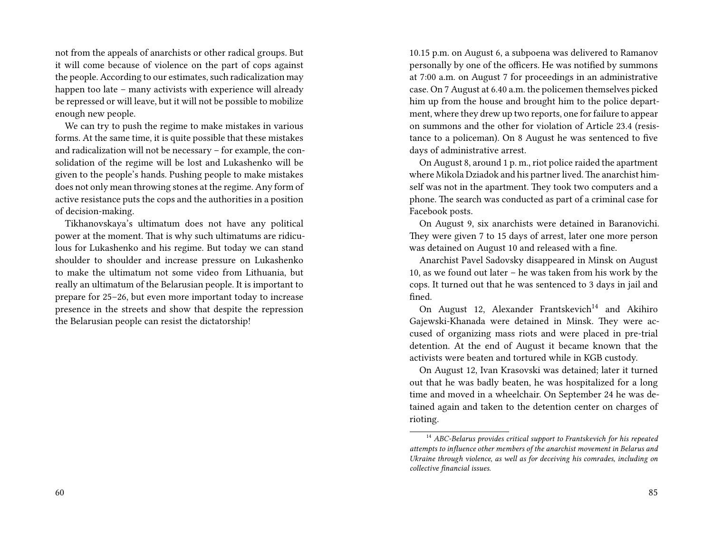not from the appeals of anarchists or other radical groups. But it will come because of violence on the part of cops against the people. According to our estimates, such radicalization may happen too late – many activists with experience will already be repressed or will leave, but it will not be possible to mobilize enough new people.

We can try to push the regime to make mistakes in various forms. At the same time, it is quite possible that these mistakes and radicalization will not be necessary – for example, the consolidation of the regime will be lost and Lukashenko will be given to the people's hands. Pushing people to make mistakes does not only mean throwing stones at the regime. Any form of active resistance puts the cops and the authorities in a position of decision-making.

Tikhanovskaya's ultimatum does not have any political power at the moment. That is why such ultimatums are ridiculous for Lukashenko and his regime. But today we can stand shoulder to shoulder and increase pressure on Lukashenko to make the ultimatum not some video from Lithuania, but really an ultimatum of the Belarusian people. It is important to prepare for 25–26, but even more important today to increase presence in the streets and show that despite the repression the Belarusian people can resist the dictatorship!

10.15 p.m. on August 6, a subpoena was delivered to Ramanov personally by one of the officers. He was notified by summons at 7:00 a.m. on August 7 for proceedings in an administrative case. On 7 August at 6.40 a.m. the policemen themselves picked him up from the house and brought him to the police department, where they drew up two reports, one for failure to appear on summons and the other for violation of Article 23.4 (resistance to a policeman). On 8 August he was sentenced to five days of administrative arrest.

On August 8, around 1 p. m., riot police raided the apartment where Mikola Dziadok and his partner lived. The anarchist himself was not in the apartment. They took two computers and a phone. The search was conducted as part of a criminal case for Facebook posts.

On August 9, six anarchists were detained in Baranovichi. They were given 7 to 15 days of arrest, later one more person was detained on August 10 and released with a fine.

Anarchist Pavel Sadovsky disappeared in Minsk on August 10, as we found out later – he was taken from his work by the cops. It turned out that he was sentenced to 3 days in jail and fined.

On August 12, Alexander Frantskevich<sup>14</sup> and Akihiro Gajewski-Khanada were detained in Minsk. They were accused of organizing mass riots and were placed in pre-trial detention. At the end of August it became known that the activists were beaten and tortured while in KGB custody.

On August 12, Ivan Krasovski was detained; later it turned out that he was badly beaten, he was hospitalized for a long time and moved in a wheelchair. On September 24 he was detained again and taken to the detention center on charges of rioting.

<sup>14</sup> *ABC-Belarus provides critical support to Frantskevich for his repeated attempts to influence other members of the anarchist movement in Belarus and Ukraine through violence, as well as for deceiving his comrades, including on collective financial issues.*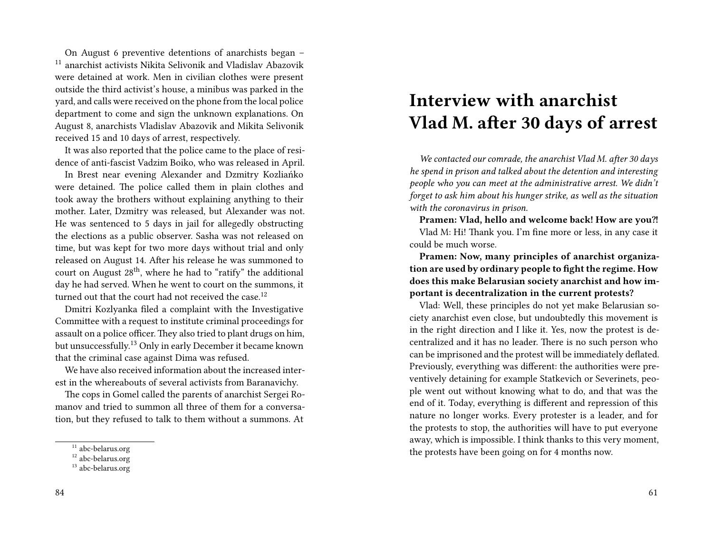On August 6 preventive detentions of anarchists began – <sup>11</sup> anarchist activists Nikita Selivonik and Vladislav Abazovik were detained at work. Men in civilian clothes were present outside the third activist's house, a minibus was parked in the yard, and calls were received on the phone from the local police department to come and sign the unknown explanations. On August 8, anarchists Vladislav Abazovik and Mikita Selivonik received 15 and 10 days of arrest, respectively.

It was also reported that the police came to the place of residence of anti-fascist Vadzim Boiko, who was released in April.

In Brest near evening Alexander and Dzmitry Kozliańko were detained. The police called them in plain clothes and took away the brothers without explaining anything to their mother. Later, Dzmitry was released, but Alexander was not. He was sentenced to 5 days in jail for allegedly obstructing the elections as a public observer. Sasha was not released on time, but was kept for two more days without trial and only released on August 14. After his release he was summoned to court on August 28<sup>th</sup>, where he had to "ratify" the additional day he had served. When he went to court on the summons, it turned out that the court had not received the case.<sup>12</sup>

Dmitri Kozlyanka filed a complaint with the Investigative Committee with a request to institute criminal proceedings for assault on a police officer. They also tried to plant drugs on him, but unsuccessfully.<sup>13</sup> Only in early December it became known that the criminal case against Dima was refused.

We have also received information about the increased interest in the whereabouts of several activists from Baranavichy.

The cops in Gomel called the parents of anarchist Sergei Romanov and tried to summon all three of them for a conversation, but they refused to talk to them without a summons. At

## **Interview with anarchist Vlad M. after 30 days of arrest**

*We contacted our comrade, the anarchist Vlad M. after 30 days he spend in prison and talked about the detention and interesting people who you can meet at the administrative arrest. We didn't forget to ask him about his hunger strike, as well as the situation with the coronavirus in prison.*

Pramen: Vlad, hello and welcome back! How are you?! Vlad M: Hi! Thank you. I'm fine more or less, in any case it could be much worse.

**Pramen: Now, many principles of anarchist organization are used by ordinary people to fight the regime. How does this make Belarusian society anarchist and how important is decentralization in the current protests?**

Vlad: Well, these principles do not yet make Belarusian society anarchist even close, but undoubtedly this movement is in the right direction and I like it. Yes, now the protest is decentralized and it has no leader. There is no such person who can be imprisoned and the protest will be immediately deflated. Previously, everything was different: the authorities were preventively detaining for example Statkevich or Severinets, people went out without knowing what to do, and that was the end of it. Today, everything is different and repression of this nature no longer works. Every protester is a leader, and for the protests to stop, the authorities will have to put everyone away, which is impossible. I think thanks to this very moment, the protests have been going on for 4 months now.

<sup>&</sup>lt;sup>11</sup> abc-belarus.org

<sup>&</sup>lt;sup>12</sup> abc-belarus.org

<sup>&</sup>lt;sup>13</sup> abc-belarus.org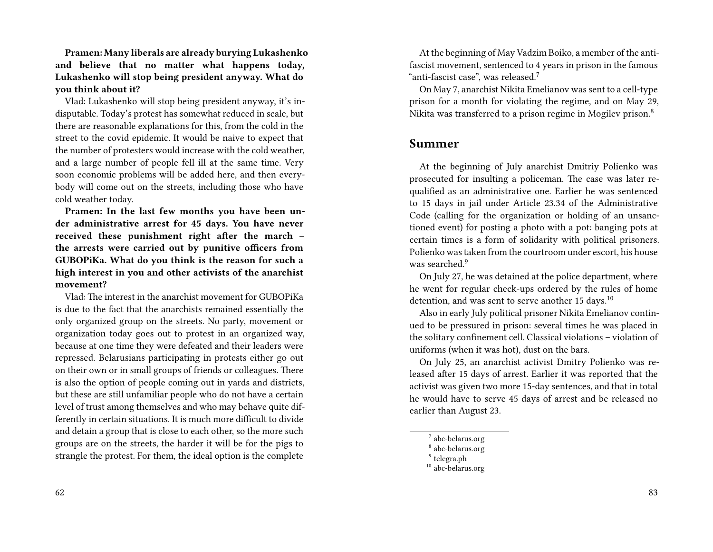**Pramen: Many liberals are already burying Lukashenko and believe that no matter what happens today, Lukashenko will stop being president anyway. What do you think about it?**

Vlad: Lukashenko will stop being president anyway, it's indisputable. Today's protest has somewhat reduced in scale, but there are reasonable explanations for this, from the cold in the street to the covid epidemic. It would be naive to expect that the number of protesters would increase with the cold weather, and a large number of people fell ill at the same time. Very soon economic problems will be added here, and then everybody will come out on the streets, including those who have cold weather today.

**Pramen: In the last few months you have been under administrative arrest for 45 days. You have never received these punishment right after the march – the arrests were carried out by punitive officers from GUBOPiKa. What do you think is the reason for such a high interest in you and other activists of the anarchist movement?**

Vlad: The interest in the anarchist movement for GUBOPiKa is due to the fact that the anarchists remained essentially the only organized group on the streets. No party, movement or organization today goes out to protest in an organized way, because at one time they were defeated and their leaders were repressed. Belarusians participating in protests either go out on their own or in small groups of friends or colleagues. There is also the option of people coming out in yards and districts, but these are still unfamiliar people who do not have a certain level of trust among themselves and who may behave quite differently in certain situations. It is much more difficult to divide and detain a group that is close to each other, so the more such groups are on the streets, the harder it will be for the pigs to strangle the protest. For them, the ideal option is the complete

At the beginning of May Vadzim Boiko, a member of the antifascist movement, sentenced to 4 years in prison in the famous "anti-fascist case", was released. $^7$ 

On May 7, anarchist Nikita Emelianov was sent to a cell-type prison for a month for violating the regime, and on May 29, Nikita was transferred to a prison regime in Mogilev prison.<sup>8</sup>

### **Summer**

At the beginning of July anarchist Dmitriy Polienko was prosecuted for insulting a policeman. The case was later requalified as an administrative one. Earlier he was sentenced to 15 days in jail under Article 23.34 of the Administrative Code (calling for the organization or holding of an unsanctioned event) for posting a photo with a pot: banging pots at certain times is a form of solidarity with political prisoners. Polienko was taken from the courtroom under escort, his house was searched.<sup>9</sup>

On July 27, he was detained at the police department, where he went for regular check-ups ordered by the rules of home detention, and was sent to serve another 15 days.<sup>10</sup>

Also in early July political prisoner Nikita Emelianov continued to be pressured in prison: several times he was placed in the solitary confinement cell. Classical violations – violation of uniforms (when it was hot), dust on the bars.

On July 25, an anarchist activist Dmitry Polienko was released after 15 days of arrest. Earlier it was reported that the activist was given two more 15-day sentences, and that in total he would have to serve 45 days of arrest and be released no earlier than August 23.

7 abc-belarus.org

<sup>10</sup> abc-belarus.org

<sup>8</sup> abc-belarus.org

<sup>&</sup>lt;sup>9</sup> telegra.ph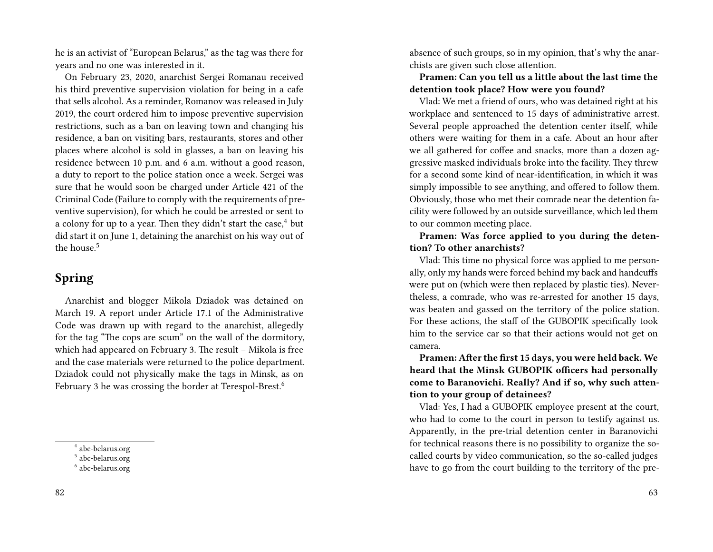he is an activist of "European Belarus," as the tag was there for years and no one was interested in it.

On February 23, 2020, anarchist Sergei Romanau received his third preventive supervision violation for being in a cafe that sells alcohol. As a reminder, Romanov was released in July 2019, the court ordered him to impose preventive supervision restrictions, such as a ban on leaving town and changing his residence, a ban on visiting bars, restaurants, stores and other places where alcohol is sold in glasses, a ban on leaving his residence between 10 p.m. and 6 a.m. without a good reason, a duty to report to the police station once a week. Sergei was sure that he would soon be charged under Article 421 of the Criminal Code (Failure to comply with the requirements of preventive supervision), for which he could be arrested or sent to a colony for up to a year. Then they didn't start the case, $4$  but did start it on June 1, detaining the anarchist on his way out of the house.<sup>5</sup>

### **Spring**

Anarchist and blogger Mikola Dziadok was detained on March 19. A report under Article 17.1 of the Administrative Code was drawn up with regard to the anarchist, allegedly for the tag "The cops are scum" on the wall of the dormitory, which had appeared on February 3. The result – Mikola is free and the case materials were returned to the police department. Dziadok could not physically make the tags in Minsk, as on February 3 he was crossing the border at Terespol-Brest.<sup>6</sup>

absence of such groups, so in my opinion, that's why the anarchists are given such close attention.

**Pramen: Can you tell us a little about the last time the detention took place? How were you found?**

Vlad: We met a friend of ours, who was detained right at his workplace and sentenced to 15 days of administrative arrest. Several people approached the detention center itself, while others were waiting for them in a cafe. About an hour after we all gathered for coffee and snacks, more than a dozen aggressive masked individuals broke into the facility. They threw for a second some kind of near-identification, in which it was simply impossible to see anything, and offered to follow them. Obviously, those who met their comrade near the detention facility were followed by an outside surveillance, which led them to our common meeting place.

**Pramen: Was force applied to you during the detention? To other anarchists?**

Vlad: This time no physical force was applied to me personally, only my hands were forced behind my back and handcuffs were put on (which were then replaced by plastic ties). Nevertheless, a comrade, who was re-arrested for another 15 days, was beaten and gassed on the territory of the police station. For these actions, the staff of the GUBOPIK specifically took him to the service car so that their actions would not get on camera.

**Pramen: After the first 15 days, you were held back. We heard that the Minsk GUBOPIK officers had personally come to Baranovichi. Really? And if so, why such attention to your group of detainees?**

Vlad: Yes, I had a GUBOPIK employee present at the court, who had to come to the court in person to testify against us. Apparently, in the pre-trial detention center in Baranovichi for technical reasons there is no possibility to organize the socalled courts by video communication, so the so-called judges have to go from the court building to the territory of the pre-

<sup>4</sup> abc-belarus.org

<sup>5</sup> abc-belarus.org

<sup>6</sup> abc-belarus.org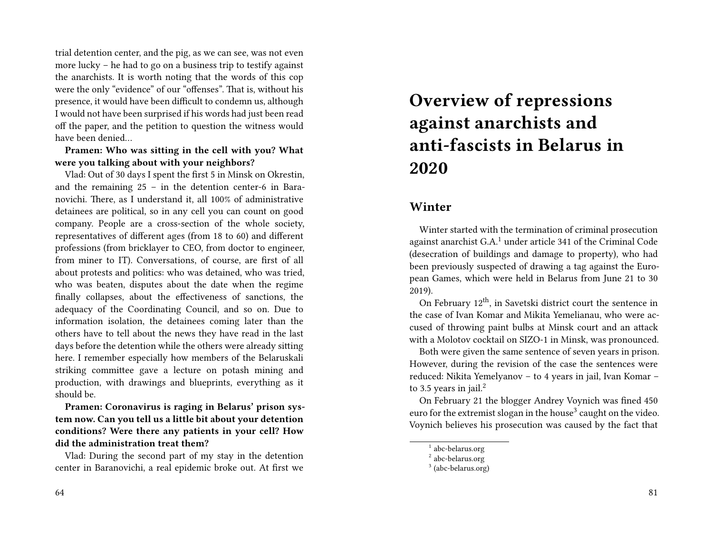trial detention center, and the pig, as we can see, was not even more lucky – he had to go on a business trip to testify against the anarchists. It is worth noting that the words of this cop were the only "evidence" of our "offenses". That is, without his presence, it would have been difficult to condemn us, although I would not have been surprised if his words had just been read off the paper, and the petition to question the witness would have been denied…

**Pramen: Who was sitting in the cell with you? What were you talking about with your neighbors?**

Vlad: Out of 30 days I spent the first 5 in Minsk on Okrestin, and the remaining 25 – in the detention center-6 in Baranovichi. There, as I understand it, all 100% of administrative detainees are political, so in any cell you can count on good company. People are a cross-section of the whole society, representatives of different ages (from 18 to 60) and different professions (from bricklayer to CEO, from doctor to engineer, from miner to IT). Conversations, of course, are first of all about protests and politics: who was detained, who was tried, who was beaten, disputes about the date when the regime finally collapses, about the effectiveness of sanctions, the adequacy of the Coordinating Council, and so on. Due to information isolation, the detainees coming later than the others have to tell about the news they have read in the last days before the detention while the others were already sitting here. I remember especially how members of the Belaruskali striking committee gave a lecture on potash mining and production, with drawings and blueprints, everything as it should be.

**Pramen: Coronavirus is raging in Belarus' prison system now. Can you tell us a little bit about your detention conditions? Were there any patients in your cell? How did the administration treat them?**

Vlad: During the second part of my stay in the detention center in Baranovichi, a real epidemic broke out. At first we

#### 64

## **Overview of repressions against anarchists and anti-fascists in Belarus in 2020**

### **Winter**

Winter started with the termination of criminal prosecution against anarchist G.A.<sup>1</sup> under article 341 of the Criminal Code (desecration of buildings and damage to property), who had been previously suspected of drawing a tag against the European Games, which were held in Belarus from June 21 to 30 2019).

On February  $12<sup>th</sup>$ , in Savetski district court the sentence in the case of Ivan Komar and Mikita Yemelianau, who were accused of throwing paint bulbs at Minsk court and an attack with a Molotov cocktail on SIZO-1 in Minsk, was pronounced.

Both were given the same sentence of seven years in prison. However, during the revision of the case the sentences were reduced: Nikita Yemelyanov – to 4 years in jail, Ivan Komar – to 3.5 years in jail. $^2$ 

On February 21 the blogger Andrey Voynich was fined 450 euro for the extremist slogan in the house $^3$  caught on the video. Voynich believes his prosecution was caused by the fact that

<sup>&</sup>lt;sup>1</sup> abc-belarus.org

<sup>2</sup> abc-belarus.org

<sup>&</sup>lt;sup>3</sup> (abc-belarus.org)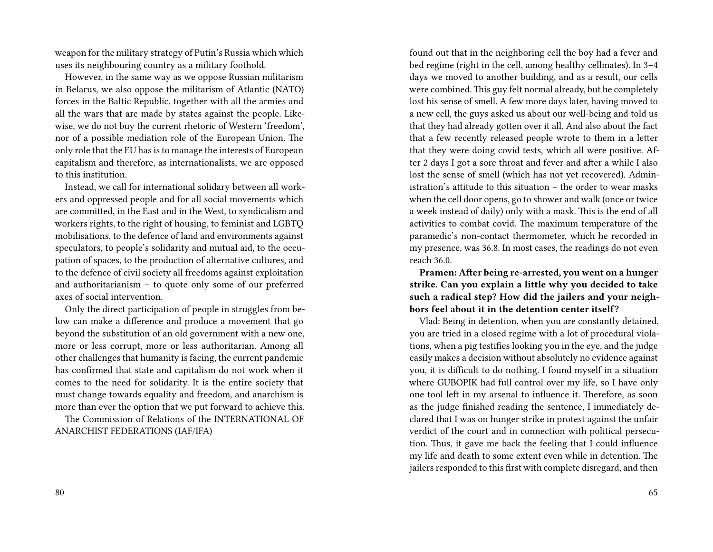weapon for the military strategy of Putin's Russia which which uses its neighbouring country as a military foothold.

However, in the same way as we oppose Russian militarism in Belarus, we also oppose the militarism of Atlantic (NATO) forces in the Baltic Republic, together with all the armies and all the wars that are made by states against the people. Likewise, we do not buy the current rhetoric of Western 'freedom', nor of a possible mediation role of the European Union. The only role that the EU has is to manage the interests of European capitalism and therefore, as internationalists, we are opposed to this institution.

Instead, we call for international solidary between all workers and oppressed people and for all social movements which are committed, in the East and in the West, to syndicalism and workers rights, to the right of housing, to feminist and LGBTQ mobilisations, to the defence of land and environments against speculators, to people's solidarity and mutual aid, to the occupation of spaces, to the production of alternative cultures, and to the defence of civil society all freedoms against exploitation and authoritarianism – to quote only some of our preferred axes of social intervention.

Only the direct participation of people in struggles from below can make a difference and produce a movement that go beyond the substitution of an old government with a new one, more or less corrupt, more or less authoritarian. Among all other challenges that humanity is facing, the current pandemic has confirmed that state and capitalism do not work when it comes to the need for solidarity. It is the entire society that must change towards equality and freedom, and anarchism is more than ever the option that we put forward to achieve this.

The Commission of Relations of the INTERNATIONAL OF ANARCHIST FEDERATIONS (IAF/IFA)

found out that in the neighboring cell the boy had a fever and bed regime (right in the cell, among healthy cellmates). In 3–4 days we moved to another building, and as a result, our cells were combined. This guy felt normal already, but he completely lost his sense of smell. A few more days later, having moved to a new cell, the guys asked us about our well-being and told us that they had already gotten over it all. And also about the fact that a few recently released people wrote to them in a letter that they were doing covid tests, which all were positive. After 2 days I got a sore throat and fever and after a while I also lost the sense of smell (which has not yet recovered). Administration's attitude to this situation – the order to wear masks when the cell door opens, go to shower and walk (once or twice a week instead of daily) only with a mask. This is the end of all activities to combat covid. The maximum temperature of the paramedic's non-contact thermometer, which he recorded in my presence, was 36.8. In most cases, the readings do not even reach 36.0.

**Pramen: After being re-arrested, you went on a hunger strike. Can you explain a little why you decided to take such a radical step? How did the jailers and your neighbors feel about it in the detention center itself?**

Vlad: Being in detention, when you are constantly detained, you are tried in a closed regime with a lot of procedural violations, when a pig testifies looking you in the eye, and the judge easily makes a decision without absolutely no evidence against you, it is difficult to do nothing. I found myself in a situation where GUBOPIK had full control over my life, so I have only one tool left in my arsenal to influence it. Therefore, as soon as the judge finished reading the sentence, I immediately declared that I was on hunger strike in protest against the unfair verdict of the court and in connection with political persecution. Thus, it gave me back the feeling that I could influence my life and death to some extent even while in detention. The jailers responded to this first with complete disregard, and then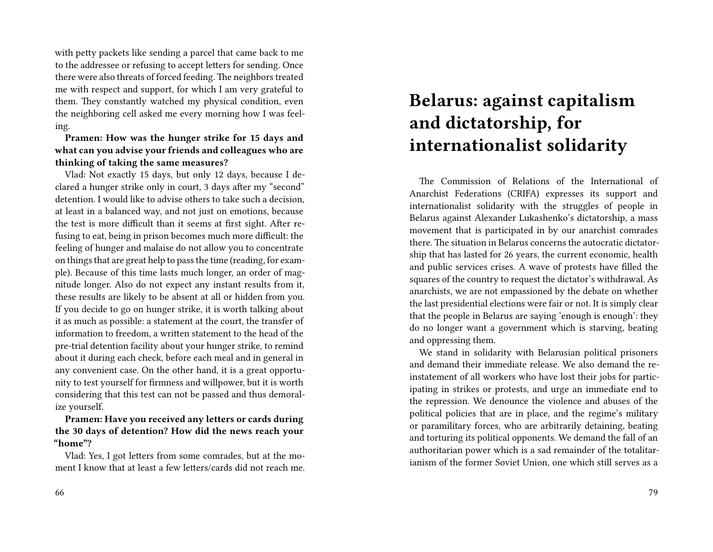with petty packets like sending a parcel that came back to me to the addressee or refusing to accept letters for sending. Once there were also threats of forced feeding. The neighbors treated me with respect and support, for which I am very grateful to them. They constantly watched my physical condition, even the neighboring cell asked me every morning how I was feeling.

**Pramen: How was the hunger strike for 15 days and what can you advise your friends and colleagues who are thinking of taking the same measures?**

Vlad: Not exactly 15 days, but only 12 days, because I declared a hunger strike only in court, 3 days after my "second" detention. I would like to advise others to take such a decision, at least in a balanced way, and not just on emotions, because the test is more difficult than it seems at first sight. After refusing to eat, being in prison becomes much more difficult: the feeling of hunger and malaise do not allow you to concentrate on things that are great help to pass the time (reading, for example). Because of this time lasts much longer, an order of magnitude longer. Also do not expect any instant results from it, these results are likely to be absent at all or hidden from you. If you decide to go on hunger strike, it is worth talking about it as much as possible: a statement at the court, the transfer of information to freedom, a written statement to the head of the pre-trial detention facility about your hunger strike, to remind about it during each check, before each meal and in general in any convenient case. On the other hand, it is a great opportunity to test yourself for firmness and willpower, but it is worth considering that this test can not be passed and thus demoralize yourself.

**Pramen: Have you received any letters or cards during the 30 days of detention? How did the news reach your "home"?**

Vlad: Yes, I got letters from some comrades, but at the moment I know that at least a few letters/cards did not reach me.

## **Belarus: against capitalism and dictatorship, for internationalist solidarity**

The Commission of Relations of the International of Anarchist Federations (CRIFA) expresses its support and internationalist solidarity with the struggles of people in Belarus against Alexander Lukashenko's dictatorship, a mass movement that is participated in by our anarchist comrades there. The situation in Belarus concerns the autocratic dictatorship that has lasted for 26 years, the current economic, health and public services crises. A wave of protests have filled the squares of the country to request the dictator's withdrawal. As anarchists, we are not empassioned by the debate on whether the last presidential elections were fair or not. It is simply clear that the people in Belarus are saying 'enough is enough': they do no longer want a government which is starving, beating and oppressing them.

We stand in solidarity with Belarusian political prisoners and demand their immediate release. We also demand the reinstatement of all workers who have lost their jobs for participating in strikes or protests, and urge an immediate end to the repression. We denounce the violence and abuses of the political policies that are in place, and the regime's military or paramilitary forces, who are arbitrarily detaining, beating and torturing its political opponents. We demand the fall of an authoritarian power which is a sad remainder of the totalitarianism of the former Soviet Union, one which still serves as a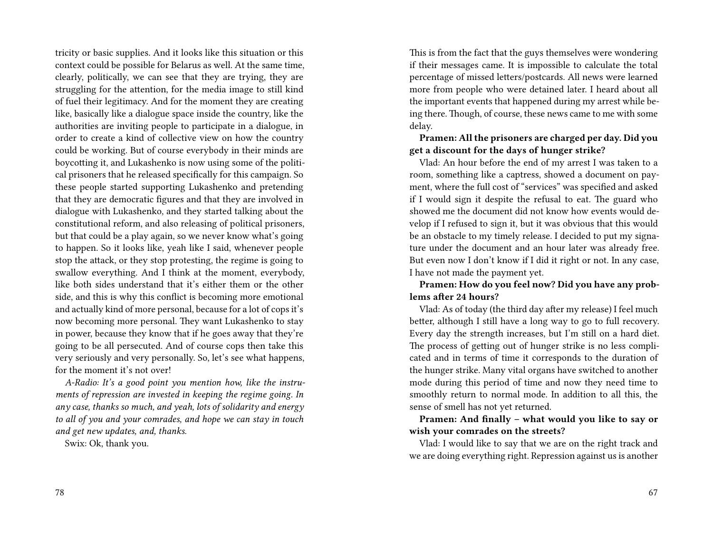tricity or basic supplies. And it looks like this situation or this context could be possible for Belarus as well. At the same time, clearly, politically, we can see that they are trying, they are struggling for the attention, for the media image to still kind of fuel their legitimacy. And for the moment they are creating like, basically like a dialogue space inside the country, like the authorities are inviting people to participate in a dialogue, in order to create a kind of collective view on how the country could be working. But of course everybody in their minds are boycotting it, and Lukashenko is now using some of the political prisoners that he released specifically for this campaign. So these people started supporting Lukashenko and pretending that they are democratic figures and that they are involved in dialogue with Lukashenko, and they started talking about the constitutional reform, and also releasing of political prisoners, but that could be a play again, so we never know what's going to happen. So it looks like, yeah like I said, whenever people stop the attack, or they stop protesting, the regime is going to swallow everything. And I think at the moment, everybody, like both sides understand that it's either them or the other side, and this is why this conflict is becoming more emotional and actually kind of more personal, because for a lot of cops it's now becoming more personal. They want Lukashenko to stay in power, because they know that if he goes away that they're going to be all persecuted. And of course cops then take this very seriously and very personally. So, let's see what happens, for the moment it's not over!

*A-Radio: It's a good point you mention how, like the instruments of repression are invested in keeping the regime going. In any case, thanks so much, and yeah, lots of solidarity and energy to all of you and your comrades, and hope we can stay in touch and get new updates, and, thanks.*

Swix: Ok, thank you.

This is from the fact that the guys themselves were wondering if their messages came. It is impossible to calculate the total percentage of missed letters/postcards. All news were learned more from people who were detained later. I heard about all the important events that happened during my arrest while being there. Though, of course, these news came to me with some delay.

### **Pramen: All the prisoners are charged per day. Did you get a discount for the days of hunger strike?**

Vlad: An hour before the end of my arrest I was taken to a room, something like a captress, showed a document on payment, where the full cost of "services" was specified and asked if I would sign it despite the refusal to eat. The guard who showed me the document did not know how events would develop if I refused to sign it, but it was obvious that this would be an obstacle to my timely release. I decided to put my signature under the document and an hour later was already free. But even now I don't know if I did it right or not. In any case, I have not made the payment yet.

**Pramen: How do you feel now? Did you have any problems after 24 hours?**

Vlad: As of today (the third day after my release) I feel much better, although I still have a long way to go to full recovery. Every day the strength increases, but I'm still on a hard diet. The process of getting out of hunger strike is no less complicated and in terms of time it corresponds to the duration of the hunger strike. Many vital organs have switched to another mode during this period of time and now they need time to smoothly return to normal mode. In addition to all this, the sense of smell has not yet returned.

**Pramen: And finally – what would you like to say or wish your comrades on the streets?**

Vlad: I would like to say that we are on the right track and we are doing everything right. Repression against us is another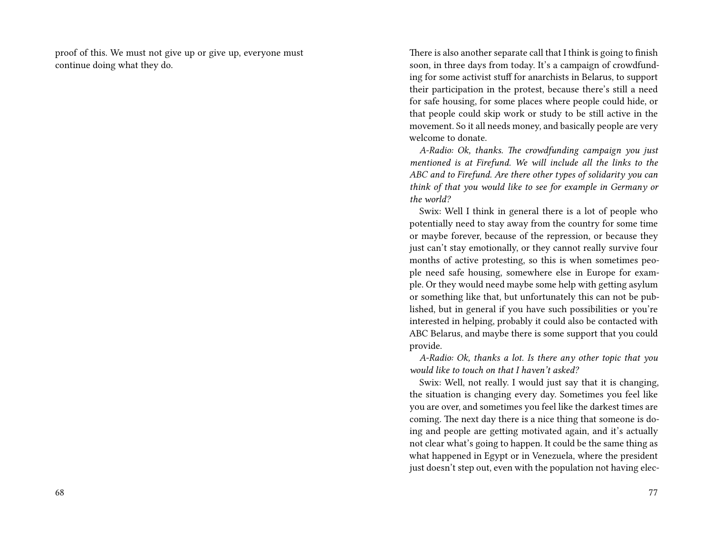proof of this. We must not give up or give up, everyone must continue doing what they do.

There is also another separate call that I think is going to finish soon, in three days from today. It's a campaign of crowdfunding for some activist stuff for anarchists in Belarus, to support their participation in the protest, because there's still a need for safe housing, for some places where people could hide, or that people could skip work or study to be still active in the movement. So it all needs money, and basically people are very welcome to donate.

*A-Radio: Ok, thanks. The crowdfunding campaign you just mentioned is at Firefund. We will include all the links to the ABC and to Firefund. Are there other types of solidarity you can think of that you would like to see for example in Germany or the world?*

Swix: Well I think in general there is a lot of people who potentially need to stay away from the country for some time or maybe forever, because of the repression, or because they just can't stay emotionally, or they cannot really survive four months of active protesting, so this is when sometimes people need safe housing, somewhere else in Europe for example. Or they would need maybe some help with getting asylum or something like that, but unfortunately this can not be published, but in general if you have such possibilities or you're interested in helping, probably it could also be contacted with ABC Belarus, and maybe there is some support that you could provide.

*A-Radio: Ok, thanks a lot. Is there any other topic that you would like to touch on that I haven't asked?*

Swix: Well, not really. I would just say that it is changing, the situation is changing every day. Sometimes you feel like you are over, and sometimes you feel like the darkest times are coming. The next day there is a nice thing that someone is doing and people are getting motivated again, and it's actually not clear what's going to happen. It could be the same thing as what happened in Egypt or in Venezuela, where the president just doesn't step out, even with the population not having elec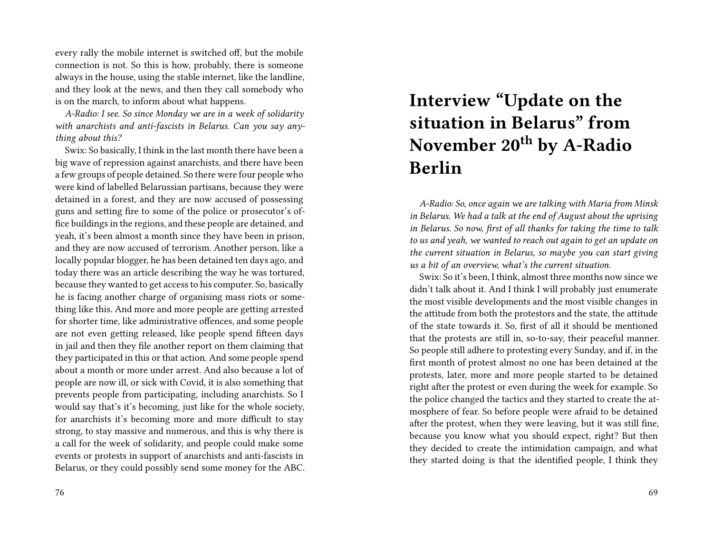every rally the mobile internet is switched off, but the mobile connection is not. So this is how, probably, there is someone always in the house, using the stable internet, like the landline, and they look at the news, and then they call somebody who is on the march, to inform about what happens.

*A-Radio: I see. So since Monday we are in a week of solidarity with anarchists and anti-fascists in Belarus. Can you say anything about this?*

Swix: So basically, I think in the last month there have been a big wave of repression against anarchists, and there have been a few groups of people detained. So there were four people who were kind of labelled Belarussian partisans, because they were detained in a forest, and they are now accused of possessing guns and setting fire to some of the police or prosecutor's office buildings in the regions, and these people are detained, and yeah, it's been almost a month since they have been in prison, and they are now accused of terrorism. Another person, like a locally popular blogger, he has been detained ten days ago, and today there was an article describing the way he was tortured, because they wanted to get access to his computer. So, basically he is facing another charge of organising mass riots or something like this. And more and more people are getting arrested for shorter time, like administrative offences, and some people are not even getting released, like people spend fifteen days in jail and then they file another report on them claiming that they participated in this or that action. And some people spend about a month or more under arrest. And also because a lot of people are now ill, or sick with Covid, it is also something that prevents people from participating, including anarchists. So I would say that's it's becoming, just like for the whole society, for anarchists it's becoming more and more difficult to stay strong, to stay massive and numerous, and this is why there is a call for the week of solidarity, and people could make some events or protests in support of anarchists and anti-fascists in Belarus, or they could possibly send some money for the ABC.

#### 76

# **Interview "Update on the situation in Belarus" from November 20th by A-Radio Berlin**

*A-Radio: So, once again we are talking with Maria from Minsk in Belarus. We had a talk at the end of August about the uprising in Belarus. So now, first of all thanks for taking the time to talk to us and yeah, we wanted to reach out again to get an update on the current situation in Belarus, so maybe you can start giving us a bit of an overview, what's the current situation.*

Swix: So it's been, I think, almost three months now since we didn't talk about it. And I think I will probably just enumerate the most visible developments and the most visible changes in the attitude from both the protestors and the state, the attitude of the state towards it. So, first of all it should be mentioned that the protests are still in, so-to-say, their peaceful manner. So people still adhere to protesting every Sunday, and if, in the first month of protest almost no one has been detained at the protests, later, more and more people started to be detained right after the protest or even during the week for example. So the police changed the tactics and they started to create the atmosphere of fear. So before people were afraid to be detained after the protest, when they were leaving, but it was still fine, because you know what you should expect, right? But then they decided to create the intimidation campaign, and what they started doing is that the identified people, I think they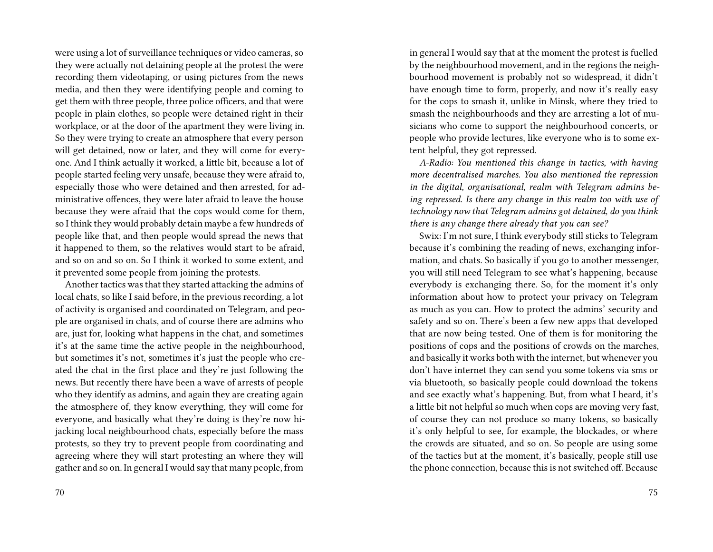were using a lot of surveillance techniques or video cameras, so they were actually not detaining people at the protest the were recording them videotaping, or using pictures from the news media, and then they were identifying people and coming to get them with three people, three police officers, and that were people in plain clothes, so people were detained right in their workplace, or at the door of the apartment they were living in. So they were trying to create an atmosphere that every person will get detained, now or later, and they will come for everyone. And I think actually it worked, a little bit, because a lot of people started feeling very unsafe, because they were afraid to, especially those who were detained and then arrested, for administrative offences, they were later afraid to leave the house because they were afraid that the cops would come for them, so I think they would probably detain maybe a few hundreds of people like that, and then people would spread the news that it happened to them, so the relatives would start to be afraid, and so on and so on. So I think it worked to some extent, and it prevented some people from joining the protests.

Another tactics was that they started attacking the admins of local chats, so like I said before, in the previous recording, a lot of activity is organised and coordinated on Telegram, and people are organised in chats, and of course there are admins who are, just for, looking what happens in the chat, and sometimes it's at the same time the active people in the neighbourhood, but sometimes it's not, sometimes it's just the people who created the chat in the first place and they're just following the news. But recently there have been a wave of arrests of people who they identify as admins, and again they are creating again the atmosphere of, they know everything, they will come for everyone, and basically what they're doing is they're now hijacking local neighbourhood chats, especially before the mass protests, so they try to prevent people from coordinating and agreeing where they will start protesting an where they will gather and so on. In general I would say that many people, from

in general I would say that at the moment the protest is fuelled by the neighbourhood movement, and in the regions the neighbourhood movement is probably not so widespread, it didn't have enough time to form, properly, and now it's really easy for the cops to smash it, unlike in Minsk, where they tried to smash the neighbourhoods and they are arresting a lot of musicians who come to support the neighbourhood concerts, or people who provide lectures, like everyone who is to some extent helpful, they got repressed.

*A-Radio: You mentioned this change in tactics, with having more decentralised marches. You also mentioned the repression in the digital, organisational, realm with Telegram admins being repressed. Is there any change in this realm too with use of technology now that Telegram admins got detained, do you think there is any change there already that you can see?*

Swix: I'm not sure, I think everybody still sticks to Telegram because it's combining the reading of news, exchanging information, and chats. So basically if you go to another messenger, you will still need Telegram to see what's happening, because everybody is exchanging there. So, for the moment it's only information about how to protect your privacy on Telegram as much as you can. How to protect the admins' security and safety and so on. There's been a few new apps that developed that are now being tested. One of them is for monitoring the positions of cops and the positions of crowds on the marches, and basically it works both with the internet, but whenever you don't have internet they can send you some tokens via sms or via bluetooth, so basically people could download the tokens and see exactly what's happening. But, from what I heard, it's a little bit not helpful so much when cops are moving very fast, of course they can not produce so many tokens, so basically it's only helpful to see, for example, the blockades, or where the crowds are situated, and so on. So people are using some of the tactics but at the moment, it's basically, people still use the phone connection, because this is not switched off. Because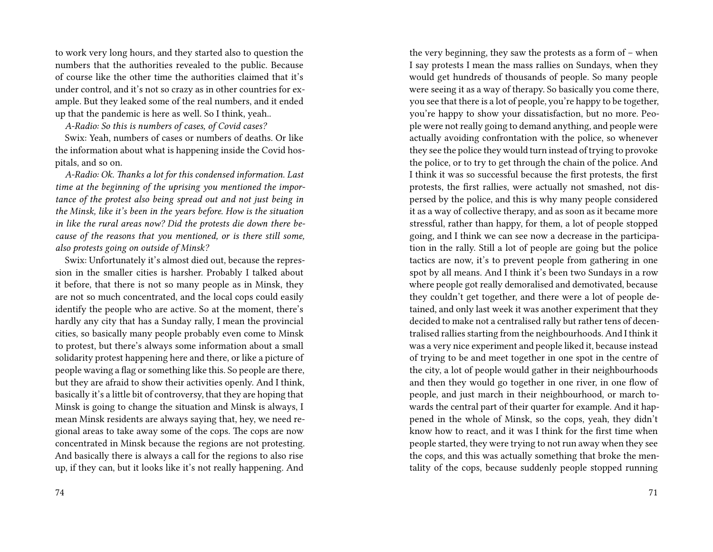to work very long hours, and they started also to question the numbers that the authorities revealed to the public. Because of course like the other time the authorities claimed that it's under control, and it's not so crazy as in other countries for example. But they leaked some of the real numbers, and it ended up that the pandemic is here as well. So I think, yeah..

*A-Radio: So this is numbers of cases, of Covid cases?*

Swix: Yeah, numbers of cases or numbers of deaths. Or like the information about what is happening inside the Covid hospitals, and so on.

*A-Radio: Ok. Thanks a lot for this condensed information. Last time at the beginning of the uprising you mentioned the importance of the protest also being spread out and not just being in the Minsk, like it's been in the years before. How is the situation in like the rural areas now? Did the protests die down there because of the reasons that you mentioned, or is there still some, also protests going on outside of Minsk?*

Swix: Unfortunately it's almost died out, because the repression in the smaller cities is harsher. Probably I talked about it before, that there is not so many people as in Minsk, they are not so much concentrated, and the local cops could easily identify the people who are active. So at the moment, there's hardly any city that has a Sunday rally, I mean the provincial cities, so basically many people probably even come to Minsk to protest, but there's always some information about a small solidarity protest happening here and there, or like a picture of people waving a flag or something like this. So people are there, but they are afraid to show their activities openly. And I think, basically it's a little bit of controversy, that they are hoping that Minsk is going to change the situation and Minsk is always, I mean Minsk residents are always saying that, hey, we need regional areas to take away some of the cops. The cops are now concentrated in Minsk because the regions are not protesting. And basically there is always a call for the regions to also rise up, if they can, but it looks like it's not really happening. And

I say protests I mean the mass rallies on Sundays, when they would get hundreds of thousands of people. So many people were seeing it as a way of therapy. So basically you come there, you see that there is a lot of people, you're happy to be together, you're happy to show your dissatisfaction, but no more. People were not really going to demand anything, and people were actually avoiding confrontation with the police, so whenever they see the police they would turn instead of trying to provoke the police, or to try to get through the chain of the police. And I think it was so successful because the first protests, the first protests, the first rallies, were actually not smashed, not dispersed by the police, and this is why many people considered it as a way of collective therapy, and as soon as it became more stressful, rather than happy, for them, a lot of people stopped going, and I think we can see now a decrease in the participation in the rally. Still a lot of people are going but the police tactics are now, it's to prevent people from gathering in one spot by all means. And I think it's been two Sundays in a row where people got really demoralised and demotivated, because they couldn't get together, and there were a lot of people detained, and only last week it was another experiment that they decided to make not a centralised rally but rather tens of decentralised rallies starting from the neighbourhoods. And I think it was a very nice experiment and people liked it, because instead of trying to be and meet together in one spot in the centre of the city, a lot of people would gather in their neighbourhoods and then they would go together in one river, in one flow of people, and just march in their neighbourhood, or march towards the central part of their quarter for example. And it happened in the whole of Minsk, so the cops, yeah, they didn't know how to react, and it was I think for the first time when people started, they were trying to not run away when they see the cops, and this was actually something that broke the mentality of the cops, because suddenly people stopped running

the very beginning, they saw the protests as a form of – when